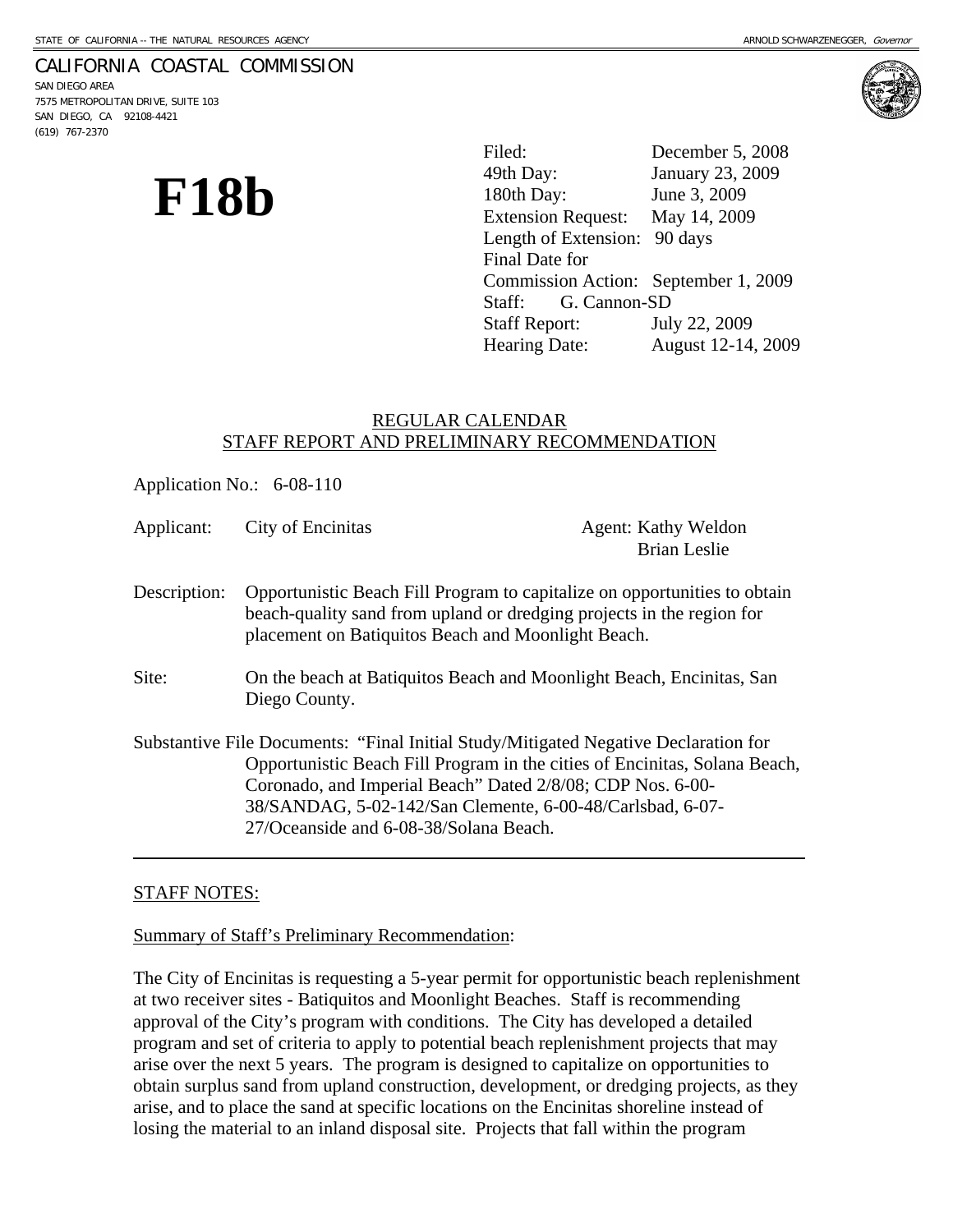#### CALIFORNIA COASTAL COMMISSION

SAN DIEGO AREA 7575 METROPOLITAN DRIVE, SUITE 103 SAN DIEGO, CA 92108-4421 (619) 767-2370



**F18b** <sup>49th Day: January 23, 20<br>
<sup>49th Day:</sup> June 3, 2009<br>
Extension Request: May 14, 2009</sup> Filed: December 5, 2008 January 23, 2009 Extension Request: Length of Extension: 90 days Final Date for Commission Action: September 1, 2009 Staff: G. Cannon-SD Staff Report: July 22, 2009 Hearing Date: August 12-14, 2009

# REGULAR CALENDAR STAFF REPORT AND PRELIMINARY RECOMMENDATION

|              | Application No.: 6-08-110                                                                                                                                                                                                                                                                                                              |                                                   |
|--------------|----------------------------------------------------------------------------------------------------------------------------------------------------------------------------------------------------------------------------------------------------------------------------------------------------------------------------------------|---------------------------------------------------|
| Applicant:   | City of Encinitas                                                                                                                                                                                                                                                                                                                      | <b>Agent: Kathy Weldon</b><br><b>Brian Leslie</b> |
| Description: | Opportunistic Beach Fill Program to capitalize on opportunities to obtain<br>beach-quality sand from upland or dredging projects in the region for<br>placement on Batiquitos Beach and Moonlight Beach.                                                                                                                               |                                                   |
| Site:        | On the beach at Batiquitos Beach and Moonlight Beach, Encinitas, San<br>Diego County.                                                                                                                                                                                                                                                  |                                                   |
|              | Substantive File Documents: "Final Initial Study/Mitigated Negative Declaration for<br>Opportunistic Beach Fill Program in the cities of Encinitas, Solana Beach,<br>Coronado, and Imperial Beach" Dated 2/8/08; CDP Nos. 6-00-<br>38/SANDAG, 5-02-142/San Clemente, 6-00-48/Carlsbad, 6-07-<br>27/Oceanside and 6-08-38/Solana Beach. |                                                   |

## STAFF NOTES:

Summary of Staff's Preliminary Recommendation:

The City of Encinitas is requesting a 5-year permit for opportunistic beach replenishment at two receiver sites - Batiquitos and Moonlight Beaches. Staff is recommending approval of the City's program with conditions. The City has developed a detailed program and set of criteria to apply to potential beach replenishment projects that may arise over the next 5 years. The program is designed to capitalize on opportunities to obtain surplus sand from upland construction, development, or dredging projects, as they arise, and to place the sand at specific locations on the Encinitas shoreline instead of losing the material to an inland disposal site. Projects that fall within the program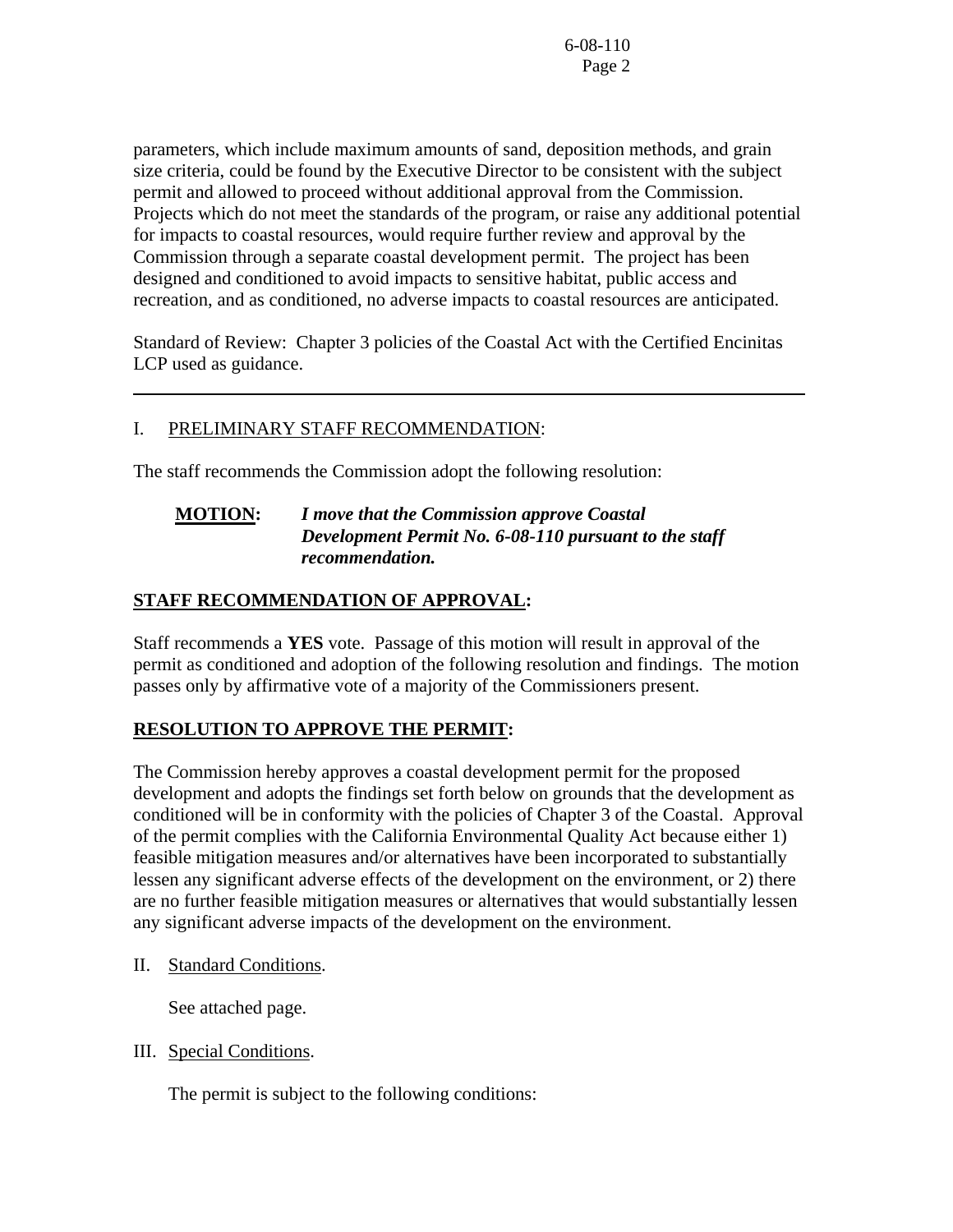parameters, which include maximum amounts of sand, deposition methods, and grain size criteria, could be found by the Executive Director to be consistent with the subject permit and allowed to proceed without additional approval from the Commission. Projects which do not meet the standards of the program, or raise any additional potential for impacts to coastal resources, would require further review and approval by the Commission through a separate coastal development permit. The project has been designed and conditioned to avoid impacts to sensitive habitat, public access and recreation, and as conditioned, no adverse impacts to coastal resources are anticipated.

Standard of Review: Chapter 3 policies of the Coastal Act with the Certified Encinitas LCP used as guidance.

# I. PRELIMINARY STAFF RECOMMENDATION:

The staff recommends the Commission adopt the following resolution:

# **MOTION:** *I move that the Commission approve Coastal Development Permit No. 6-08-110 pursuant to the staff recommendation.*

# **STAFF RECOMMENDATION OF APPROVAL:**

Staff recommends a **YES** vote. Passage of this motion will result in approval of the permit as conditioned and adoption of the following resolution and findings. The motion passes only by affirmative vote of a majority of the Commissioners present.

# **RESOLUTION TO APPROVE THE PERMIT:**

The Commission hereby approves a coastal development permit for the proposed development and adopts the findings set forth below on grounds that the development as conditioned will be in conformity with the policies of Chapter 3 of the Coastal. Approval of the permit complies with the California Environmental Quality Act because either 1) feasible mitigation measures and/or alternatives have been incorporated to substantially lessen any significant adverse effects of the development on the environment, or 2) there are no further feasible mitigation measures or alternatives that would substantially lessen any significant adverse impacts of the development on the environment.

II. Standard Conditions.

 $\overline{a}$ 

See attached page.

III. Special Conditions.

The permit is subject to the following conditions: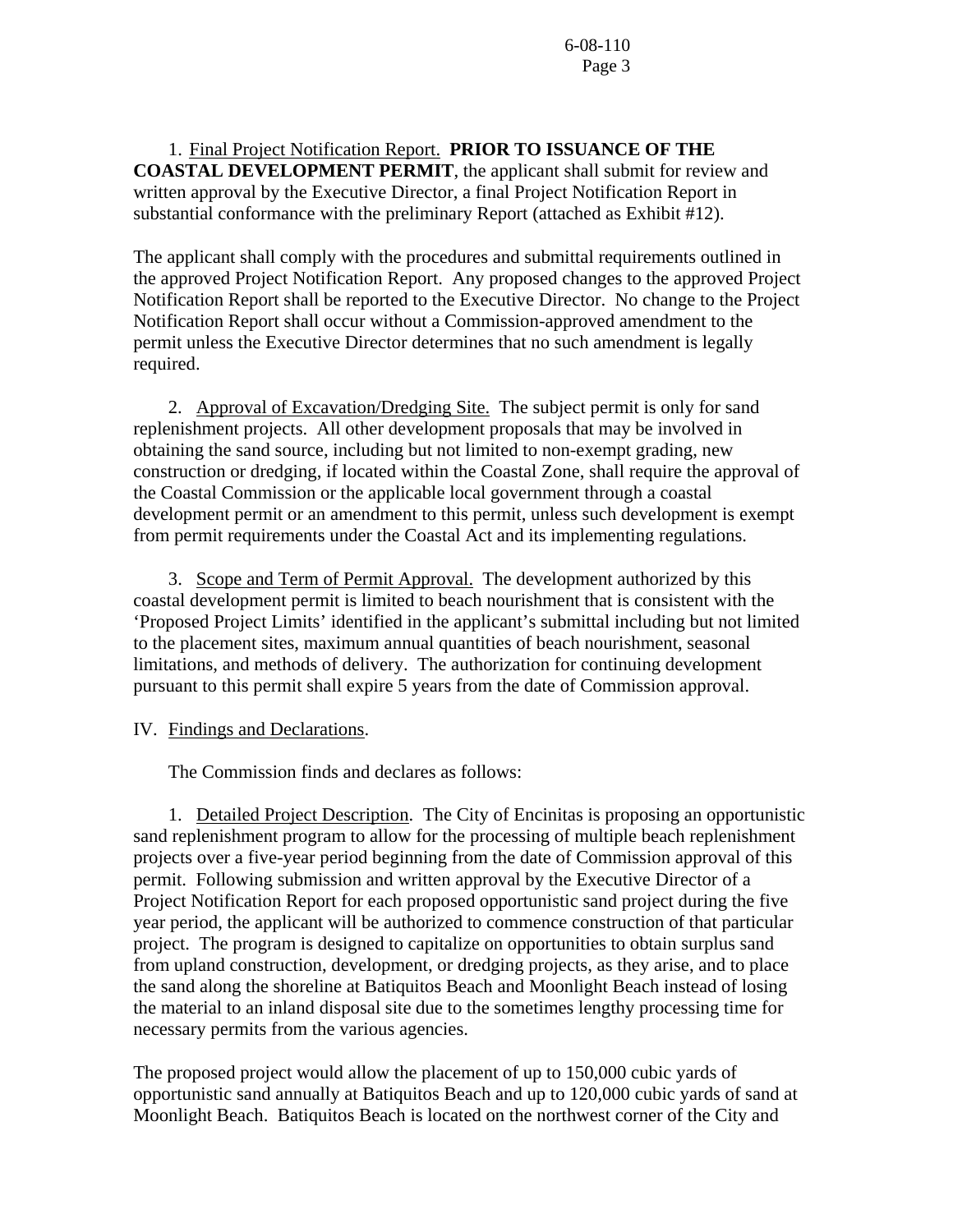1. Final Project Notification Report. **PRIOR TO ISSUANCE OF THE COASTAL DEVELOPMENT PERMIT**, the applicant shall submit for review and written approval by the Executive Director, a final Project Notification Report in substantial conformance with the preliminary Report (attached as Exhibit #12).

The applicant shall comply with the procedures and submittal requirements outlined in the approved Project Notification Report. Any proposed changes to the approved Project Notification Report shall be reported to the Executive Director. No change to the Project Notification Report shall occur without a Commission-approved amendment to the permit unless the Executive Director determines that no such amendment is legally required.

 2. Approval of Excavation/Dredging Site. The subject permit is only for sand replenishment projects. All other development proposals that may be involved in obtaining the sand source, including but not limited to non-exempt grading, new construction or dredging, if located within the Coastal Zone, shall require the approval of the Coastal Commission or the applicable local government through a coastal development permit or an amendment to this permit, unless such development is exempt from permit requirements under the Coastal Act and its implementing regulations.

 3. Scope and Term of Permit Approval. The development authorized by this coastal development permit is limited to beach nourishment that is consistent with the 'Proposed Project Limits' identified in the applicant's submittal including but not limited to the placement sites, maximum annual quantities of beach nourishment, seasonal limitations, and methods of delivery. The authorization for continuing development pursuant to this permit shall expire 5 years from the date of Commission approval.

IV. Findings and Declarations.

The Commission finds and declares as follows:

 1. Detailed Project Description. The City of Encinitas is proposing an opportunistic sand replenishment program to allow for the processing of multiple beach replenishment projects over a five-year period beginning from the date of Commission approval of this permit. Following submission and written approval by the Executive Director of a Project Notification Report for each proposed opportunistic sand project during the five year period, the applicant will be authorized to commence construction of that particular project. The program is designed to capitalize on opportunities to obtain surplus sand from upland construction, development, or dredging projects, as they arise, and to place the sand along the shoreline at Batiquitos Beach and Moonlight Beach instead of losing the material to an inland disposal site due to the sometimes lengthy processing time for necessary permits from the various agencies.

The proposed project would allow the placement of up to 150,000 cubic yards of opportunistic sand annually at Batiquitos Beach and up to 120,000 cubic yards of sand at Moonlight Beach. Batiquitos Beach is located on the northwest corner of the City and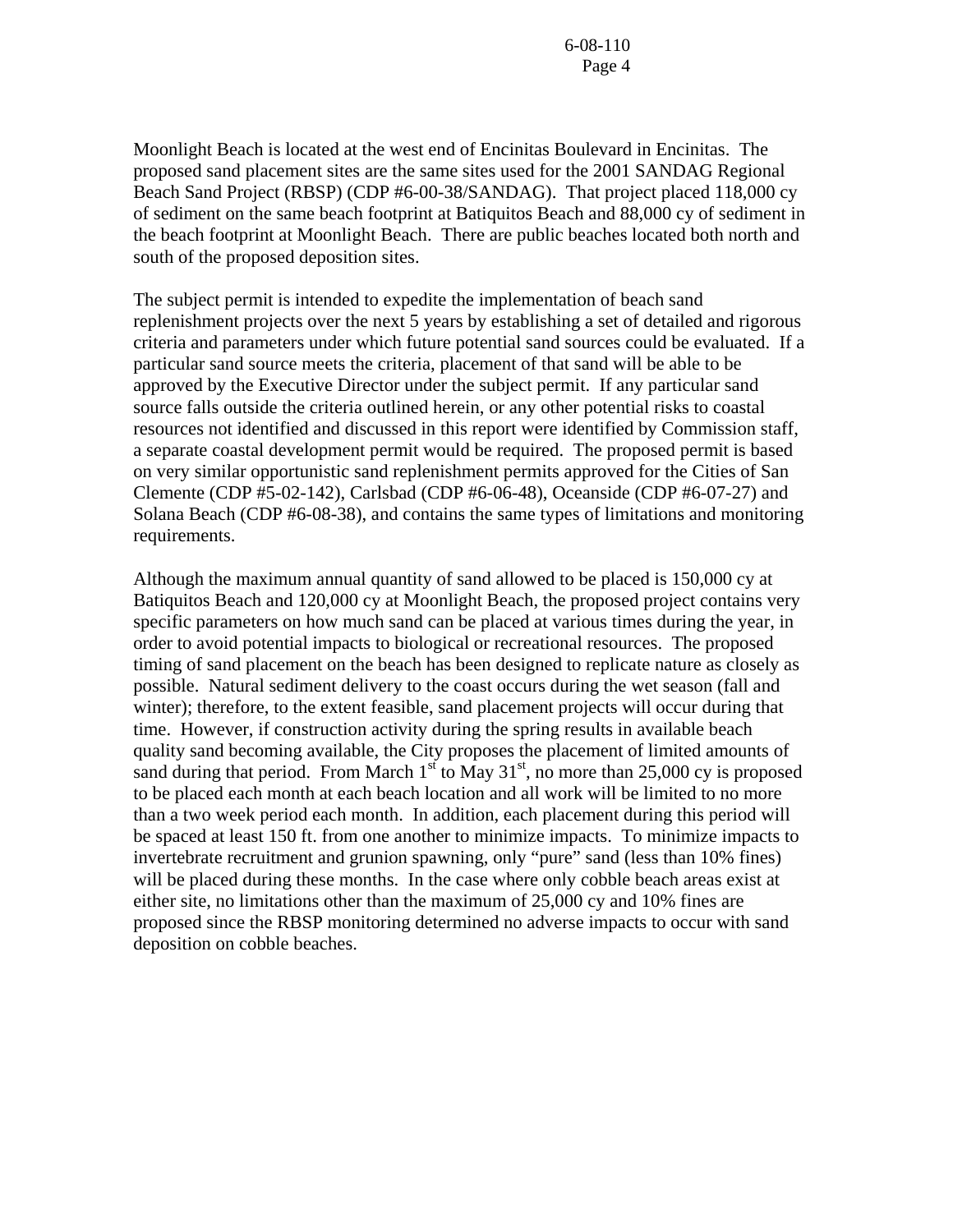Moonlight Beach is located at the west end of Encinitas Boulevard in Encinitas. The proposed sand placement sites are the same sites used for the 2001 SANDAG Regional Beach Sand Project (RBSP) (CDP #6-00-38/SANDAG). That project placed 118,000 cy of sediment on the same beach footprint at Batiquitos Beach and 88,000 cy of sediment in the beach footprint at Moonlight Beach. There are public beaches located both north and south of the proposed deposition sites.

The subject permit is intended to expedite the implementation of beach sand replenishment projects over the next 5 years by establishing a set of detailed and rigorous criteria and parameters under which future potential sand sources could be evaluated. If a particular sand source meets the criteria, placement of that sand will be able to be approved by the Executive Director under the subject permit. If any particular sand source falls outside the criteria outlined herein, or any other potential risks to coastal resources not identified and discussed in this report were identified by Commission staff, a separate coastal development permit would be required. The proposed permit is based on very similar opportunistic sand replenishment permits approved for the Cities of San Clemente (CDP #5-02-142), Carlsbad (CDP #6-06-48), Oceanside (CDP #6-07-27) and Solana Beach (CDP #6-08-38), and contains the same types of limitations and monitoring requirements.

Although the maximum annual quantity of sand allowed to be placed is 150,000 cy at Batiquitos Beach and 120,000 cy at Moonlight Beach, the proposed project contains very specific parameters on how much sand can be placed at various times during the year, in order to avoid potential impacts to biological or recreational resources. The proposed timing of sand placement on the beach has been designed to replicate nature as closely as possible. Natural sediment delivery to the coast occurs during the wet season (fall and winter); therefore, to the extent feasible, sand placement projects will occur during that time. However, if construction activity during the spring results in available beach quality sand becoming available, the City proposes the placement of limited amounts of sand during that period. From March  $1<sup>st</sup>$  to May 31<sup>st</sup>, no more than 25,000 cy is proposed to be placed each month at each beach location and all work will be limited to no more than a two week period each month. In addition, each placement during this period will be spaced at least 150 ft. from one another to minimize impacts. To minimize impacts to invertebrate recruitment and grunion spawning, only "pure" sand (less than 10% fines) will be placed during these months. In the case where only cobble beach areas exist at either site, no limitations other than the maximum of 25,000 cy and 10% fines are proposed since the RBSP monitoring determined no adverse impacts to occur with sand deposition on cobble beaches.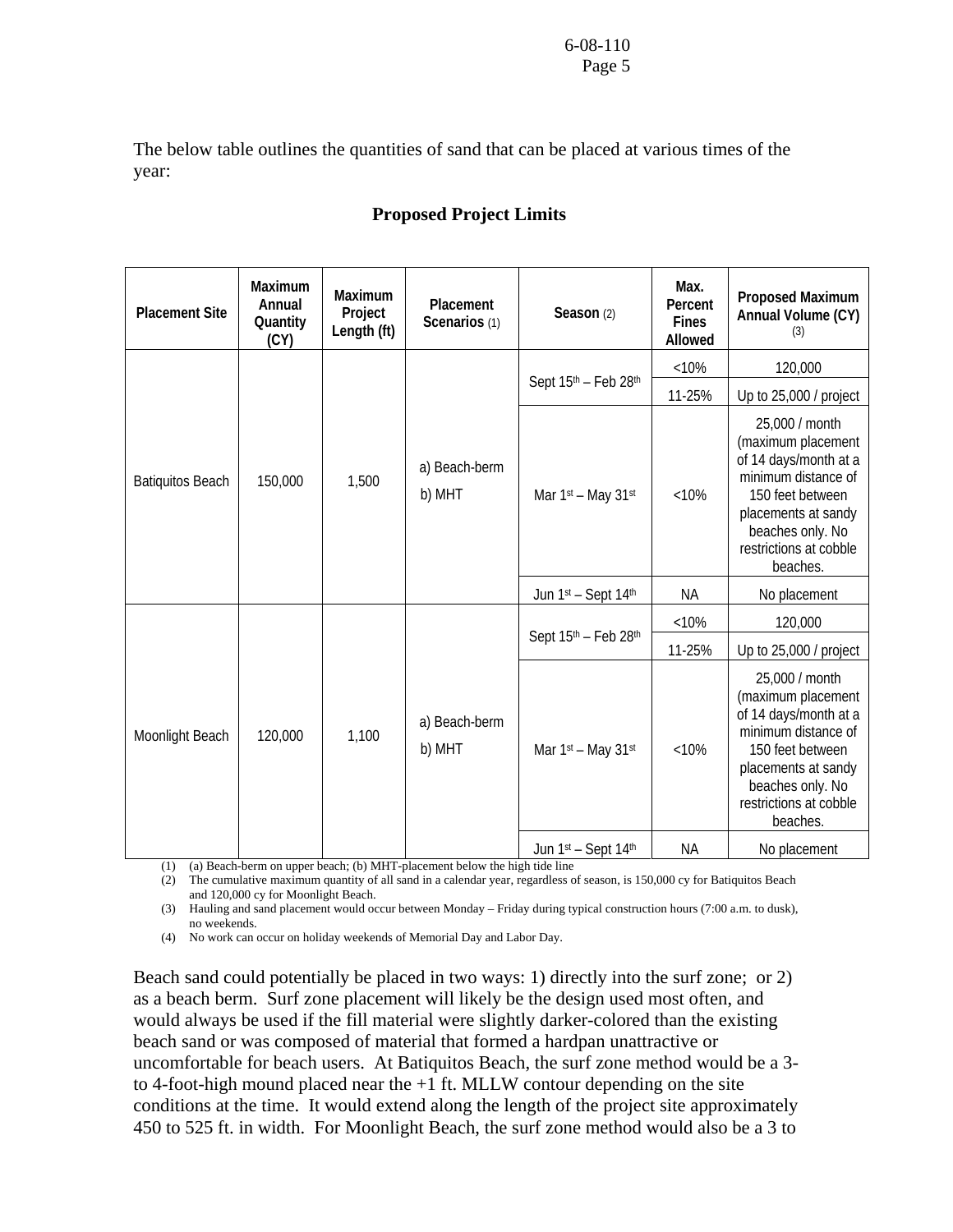The below table outlines the quantities of sand that can be placed at various times of the year:

| <b>Placement Site</b>   | Maximum<br>Annual<br>Quantity<br>(CY) | Maximum<br>Project<br>Length (ft) | Placement<br>Scenarios (1) | Max.<br>Percent<br>Season (2)<br><b>Fines</b><br>Allowed |           | Proposed Maximum<br>Annual Volume (CY)<br>(3)                                                                                                                                             |
|-------------------------|---------------------------------------|-----------------------------------|----------------------------|----------------------------------------------------------|-----------|-------------------------------------------------------------------------------------------------------------------------------------------------------------------------------------------|
|                         |                                       |                                   |                            |                                                          | < 10%     | 120,000                                                                                                                                                                                   |
|                         |                                       |                                   |                            | Sept 15th - Feb 28th                                     | 11-25%    | Up to 25,000 / project                                                                                                                                                                    |
| <b>Batiquitos Beach</b> | 150,000                               | 1,500                             | a) Beach-berm<br>b) MHT    | Mar 1st - May 31st                                       | < 10%     | 25,000 / month<br>(maximum placement<br>of 14 days/month at a<br>minimum distance of<br>150 feet between<br>placements at sandy<br>beaches only. No<br>restrictions at cobble<br>beaches. |
|                         |                                       |                                   |                            | Jun 1st - Sept 14th                                      | <b>NA</b> | No placement                                                                                                                                                                              |
|                         | 120,000<br>1,100                      |                                   | a) Beach-berm<br>b) MHT    |                                                          | < 10%     | 120,000                                                                                                                                                                                   |
| Moonlight Beach         |                                       |                                   |                            | Sept 15th - Feb 28th                                     | 11-25%    | Up to 25,000 / project                                                                                                                                                                    |
|                         |                                       |                                   |                            | Mar 1st - May 31st                                       | < 10%     | 25,000 / month<br>(maximum placement<br>of 14 days/month at a<br>minimum distance of<br>150 feet between<br>placements at sandy<br>beaches only. No<br>restrictions at cobble<br>beaches. |
|                         |                                       |                                   |                            | Jun 1st - Sept 14th                                      | ΝA        | No placement                                                                                                                                                                              |

# **Proposed Project Limits**

(1) (a) Beach-berm on upper beach; (b) MHT-placement below the high tide line

(2) The cumulative maximum quantity of all sand in a calendar year, regardless of season, is 150,000 cy for Batiquitos Beach and 120,000 cy for Moonlight Beach.

(3) Hauling and sand placement would occur between Monday – Friday during typical construction hours (7:00 a.m. to dusk), no weekends.

(4) No work can occur on holiday weekends of Memorial Day and Labor Day.

Beach sand could potentially be placed in two ways: 1) directly into the surf zone; or 2) as a beach berm. Surf zone placement will likely be the design used most often, and would always be used if the fill material were slightly darker-colored than the existing beach sand or was composed of material that formed a hardpan unattractive or uncomfortable for beach users. At Batiquitos Beach, the surf zone method would be a 3 to 4-foot-high mound placed near the +1 ft. MLLW contour depending on the site conditions at the time. It would extend along the length of the project site approximately 450 to 525 ft. in width. For Moonlight Beach, the surf zone method would also be a 3 to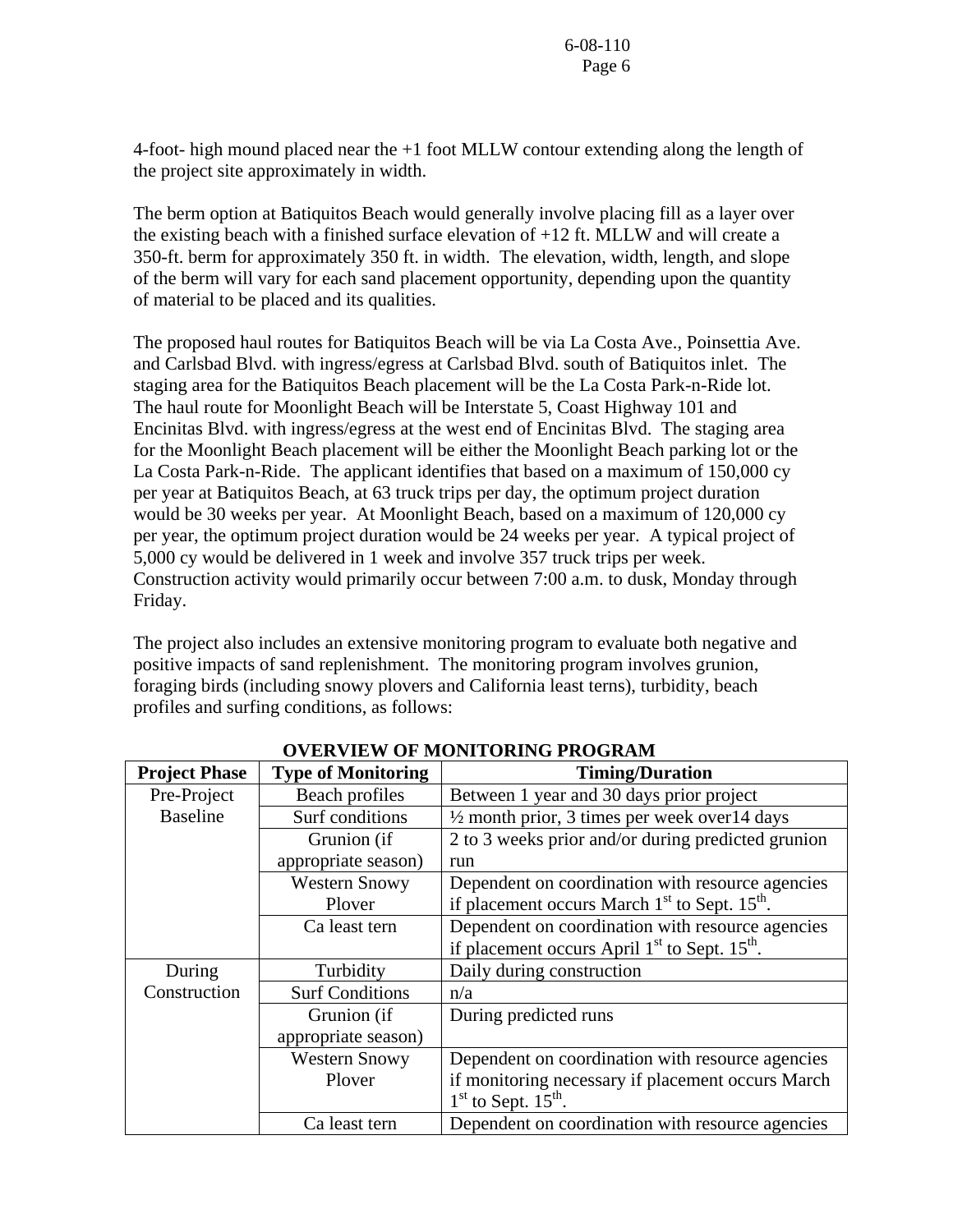4-foot- high mound placed near the +1 foot MLLW contour extending along the length of the project site approximately in width.

The berm option at Batiquitos Beach would generally involve placing fill as a layer over the existing beach with a finished surface elevation of +12 ft. MLLW and will create a 350-ft. berm for approximately 350 ft. in width. The elevation, width, length, and slope of the berm will vary for each sand placement opportunity, depending upon the quantity of material to be placed and its qualities.

The proposed haul routes for Batiquitos Beach will be via La Costa Ave., Poinsettia Ave. and Carlsbad Blvd. with ingress/egress at Carlsbad Blvd. south of Batiquitos inlet. The staging area for the Batiquitos Beach placement will be the La Costa Park-n-Ride lot. The haul route for Moonlight Beach will be Interstate 5, Coast Highway 101 and Encinitas Blvd. with ingress/egress at the west end of Encinitas Blvd. The staging area for the Moonlight Beach placement will be either the Moonlight Beach parking lot or the La Costa Park-n-Ride. The applicant identifies that based on a maximum of 150,000 cy per year at Batiquitos Beach, at 63 truck trips per day, the optimum project duration would be 30 weeks per year. At Moonlight Beach, based on a maximum of 120,000 cy per year, the optimum project duration would be 24 weeks per year. A typical project of 5,000 cy would be delivered in 1 week and involve 357 truck trips per week. Construction activity would primarily occur between 7:00 a.m. to dusk, Monday through Friday.

The project also includes an extensive monitoring program to evaluate both negative and positive impacts of sand replenishment. The monitoring program involves grunion, foraging birds (including snowy plovers and California least terns), turbidity, beach profiles and surfing conditions, as follows:

| <b>Project Phase</b> | <b>Type of Monitoring</b> | <b>Timing/Duration</b>                                   |
|----------------------|---------------------------|----------------------------------------------------------|
| Pre-Project          | Beach profiles            | Between 1 year and 30 days prior project                 |
| <b>Baseline</b>      | Surf conditions           | $\frac{1}{2}$ month prior, 3 times per week over 14 days |
|                      | Grunion (if               | 2 to 3 weeks prior and/or during predicted grunion       |
|                      | appropriate season)       | run                                                      |
|                      | <b>Western Snowy</b>      | Dependent on coordination with resource agencies         |
|                      | Plover                    | if placement occurs March $1st$ to Sept. $15th$ .        |
|                      | Ca least tern             | Dependent on coordination with resource agencies         |
|                      |                           | if placement occurs April $1st$ to Sept. $15th$ .        |
| During               | Turbidity                 | Daily during construction                                |
| Construction         | <b>Surf Conditions</b>    | n/a                                                      |
|                      | Grunion (if               | During predicted runs                                    |
|                      | appropriate season)       |                                                          |
|                      | <b>Western Snowy</b>      | Dependent on coordination with resource agencies         |
|                      | Plover                    | if monitoring necessary if placement occurs March        |
|                      |                           | $1st$ to Sept. 15 <sup>th</sup> .                        |
|                      | Ca least tern             | Dependent on coordination with resource agencies         |

**OVERVIEW OF MONITORING PROGRAM**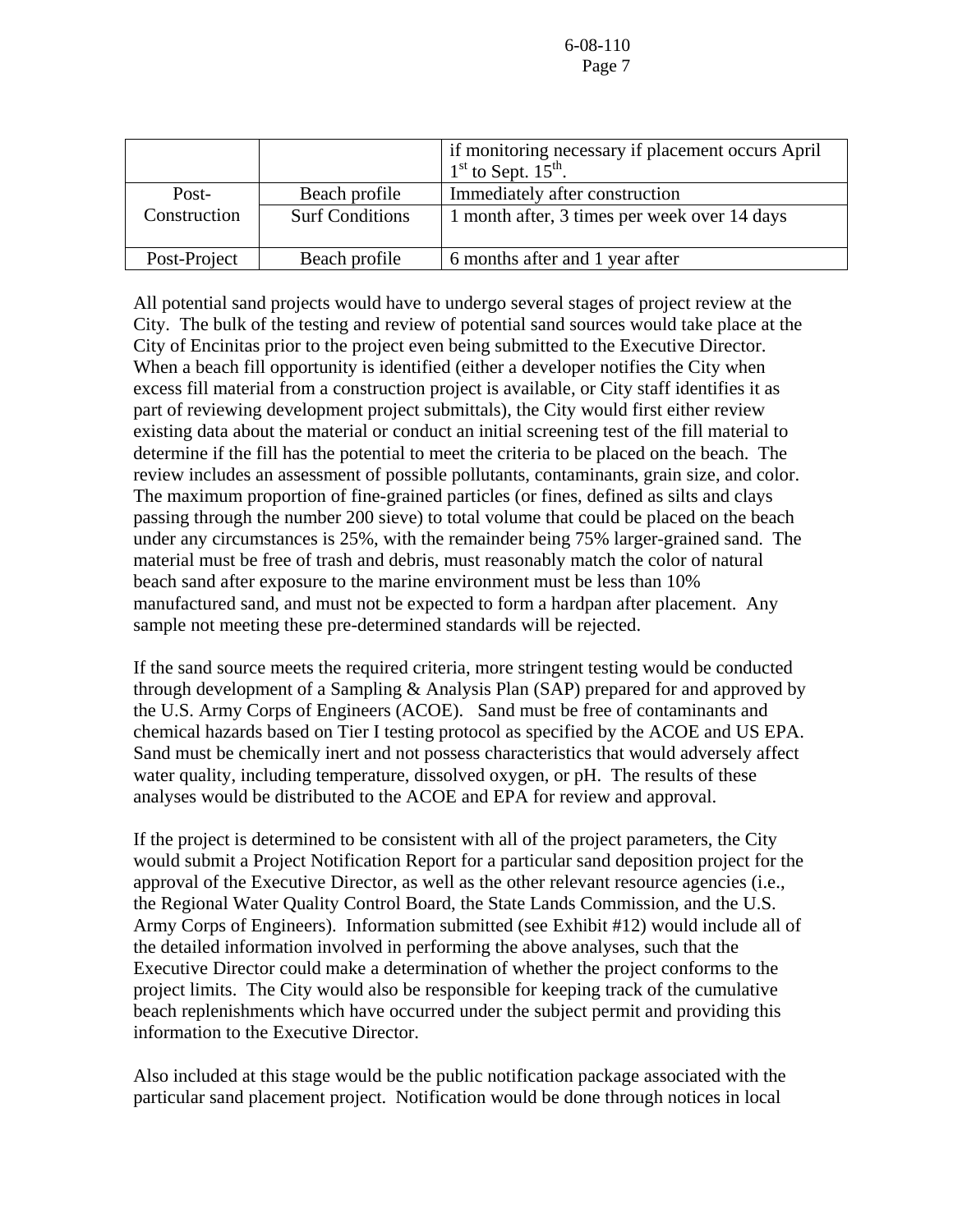|              |                        | if monitoring necessary if placement occurs April<br>$1st$ to Sept. $15th$ . |
|--------------|------------------------|------------------------------------------------------------------------------|
| Post-        | Beach profile          | Immediately after construction                                               |
| Construction | <b>Surf Conditions</b> | 1 month after, 3 times per week over 14 days                                 |
| Post-Project | Beach profile          | 6 months after and 1 year after                                              |

All potential sand projects would have to undergo several stages of project review at the City. The bulk of the testing and review of potential sand sources would take place at the City of Encinitas prior to the project even being submitted to the Executive Director. When a beach fill opportunity is identified (either a developer notifies the City when excess fill material from a construction project is available, or City staff identifies it as part of reviewing development project submittals), the City would first either review existing data about the material or conduct an initial screening test of the fill material to determine if the fill has the potential to meet the criteria to be placed on the beach. The review includes an assessment of possible pollutants, contaminants, grain size, and color. The maximum proportion of fine-grained particles (or fines, defined as silts and clays passing through the number 200 sieve) to total volume that could be placed on the beach under any circumstances is 25%, with the remainder being 75% larger-grained sand. The material must be free of trash and debris, must reasonably match the color of natural beach sand after exposure to the marine environment must be less than 10% manufactured sand, and must not be expected to form a hardpan after placement. Any sample not meeting these pre-determined standards will be rejected.

If the sand source meets the required criteria, more stringent testing would be conducted through development of a Sampling & Analysis Plan (SAP) prepared for and approved by the U.S. Army Corps of Engineers (ACOE). Sand must be free of contaminants and chemical hazards based on Tier I testing protocol as specified by the ACOE and US EPA. Sand must be chemically inert and not possess characteristics that would adversely affect water quality, including temperature, dissolved oxygen, or pH. The results of these analyses would be distributed to the ACOE and EPA for review and approval.

If the project is determined to be consistent with all of the project parameters, the City would submit a Project Notification Report for a particular sand deposition project for the approval of the Executive Director, as well as the other relevant resource agencies (i.e., the Regional Water Quality Control Board, the State Lands Commission, and the U.S. Army Corps of Engineers). Information submitted (see Exhibit #12) would include all of the detailed information involved in performing the above analyses, such that the Executive Director could make a determination of whether the project conforms to the project limits. The City would also be responsible for keeping track of the cumulative beach replenishments which have occurred under the subject permit and providing this information to the Executive Director.

Also included at this stage would be the public notification package associated with the particular sand placement project. Notification would be done through notices in local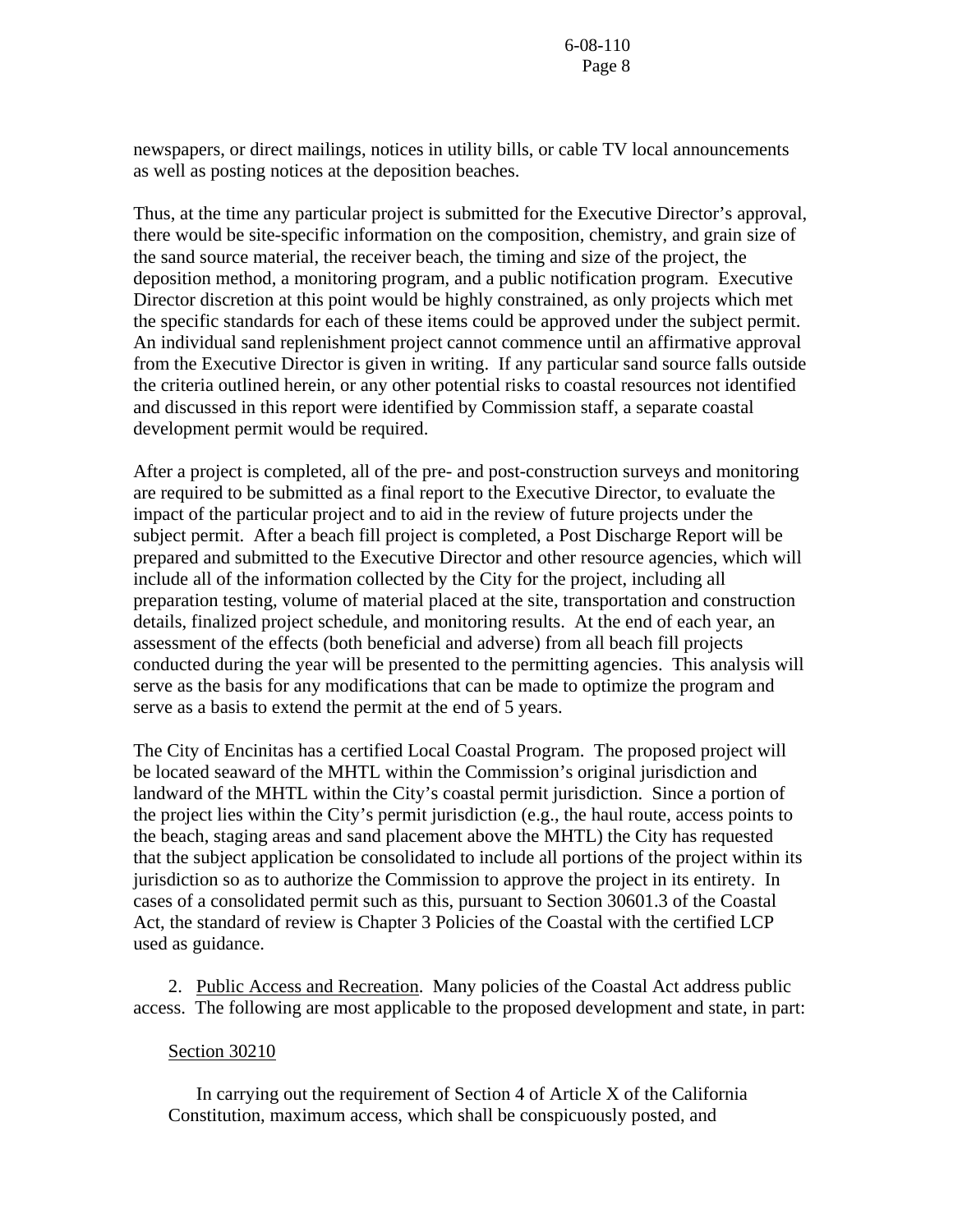newspapers, or direct mailings, notices in utility bills, or cable TV local announcements as well as posting notices at the deposition beaches.

Thus, at the time any particular project is submitted for the Executive Director's approval, there would be site-specific information on the composition, chemistry, and grain size of the sand source material, the receiver beach, the timing and size of the project, the deposition method, a monitoring program, and a public notification program. Executive Director discretion at this point would be highly constrained, as only projects which met the specific standards for each of these items could be approved under the subject permit. An individual sand replenishment project cannot commence until an affirmative approval from the Executive Director is given in writing. If any particular sand source falls outside the criteria outlined herein, or any other potential risks to coastal resources not identified and discussed in this report were identified by Commission staff, a separate coastal development permit would be required.

After a project is completed, all of the pre- and post-construction surveys and monitoring are required to be submitted as a final report to the Executive Director, to evaluate the impact of the particular project and to aid in the review of future projects under the subject permit. After a beach fill project is completed, a Post Discharge Report will be prepared and submitted to the Executive Director and other resource agencies, which will include all of the information collected by the City for the project, including all preparation testing, volume of material placed at the site, transportation and construction details, finalized project schedule, and monitoring results. At the end of each year, an assessment of the effects (both beneficial and adverse) from all beach fill projects conducted during the year will be presented to the permitting agencies. This analysis will serve as the basis for any modifications that can be made to optimize the program and serve as a basis to extend the permit at the end of 5 years.

The City of Encinitas has a certified Local Coastal Program. The proposed project will be located seaward of the MHTL within the Commission's original jurisdiction and landward of the MHTL within the City's coastal permit jurisdiction. Since a portion of the project lies within the City's permit jurisdiction (e.g., the haul route, access points to the beach, staging areas and sand placement above the MHTL) the City has requested that the subject application be consolidated to include all portions of the project within its jurisdiction so as to authorize the Commission to approve the project in its entirety. In cases of a consolidated permit such as this, pursuant to Section 30601.3 of the Coastal Act, the standard of review is Chapter 3 Policies of the Coastal with the certified LCP used as guidance.

 2. Public Access and Recreation. Many policies of the Coastal Act address public access. The following are most applicable to the proposed development and state, in part:

#### Section 30210

 In carrying out the requirement of Section 4 of Article X of the California Constitution, maximum access, which shall be conspicuously posted, and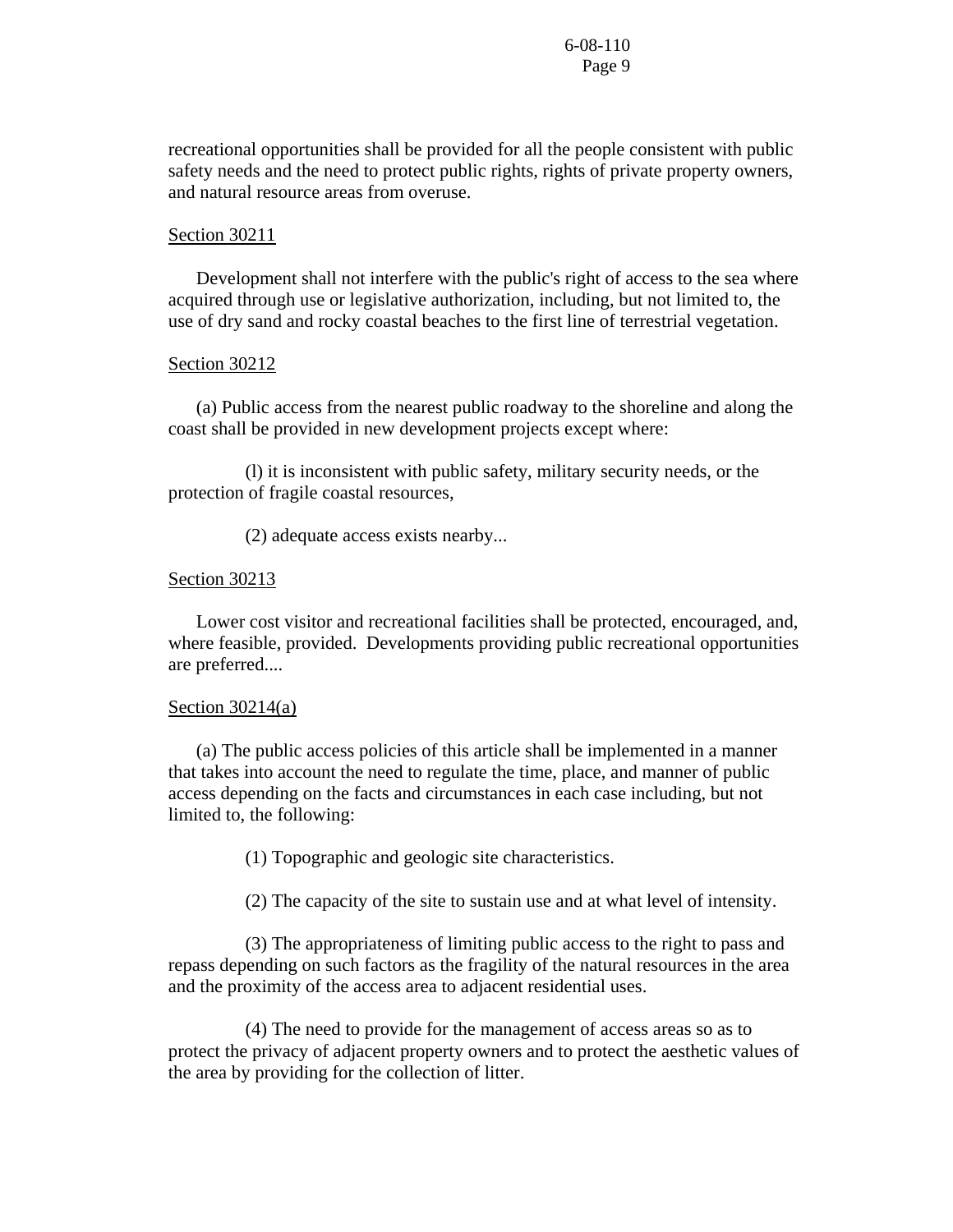recreational opportunities shall be provided for all the people consistent with public safety needs and the need to protect public rights, rights of private property owners, and natural resource areas from overuse.

#### Section 30211

 Development shall not interfere with the public's right of access to the sea where acquired through use or legislative authorization, including, but not limited to, the use of dry sand and rocky coastal beaches to the first line of terrestrial vegetation.

#### Section 30212

 (a) Public access from the nearest public roadway to the shoreline and along the coast shall be provided in new development projects except where:

 (l) it is inconsistent with public safety, military security needs, or the protection of fragile coastal resources,

(2) adequate access exists nearby...

#### Section 30213

 Lower cost visitor and recreational facilities shall be protected, encouraged, and, where feasible, provided. Developments providing public recreational opportunities are preferred....

#### Section  $30214(a)$

 (a) The public access policies of this article shall be implemented in a manner that takes into account the need to regulate the time, place, and manner of public access depending on the facts and circumstances in each case including, but not limited to, the following:

(1) Topographic and geologic site characteristics.

(2) The capacity of the site to sustain use and at what level of intensity.

 (3) The appropriateness of limiting public access to the right to pass and repass depending on such factors as the fragility of the natural resources in the area and the proximity of the access area to adjacent residential uses.

 (4) The need to provide for the management of access areas so as to protect the privacy of adjacent property owners and to protect the aesthetic values of the area by providing for the collection of litter.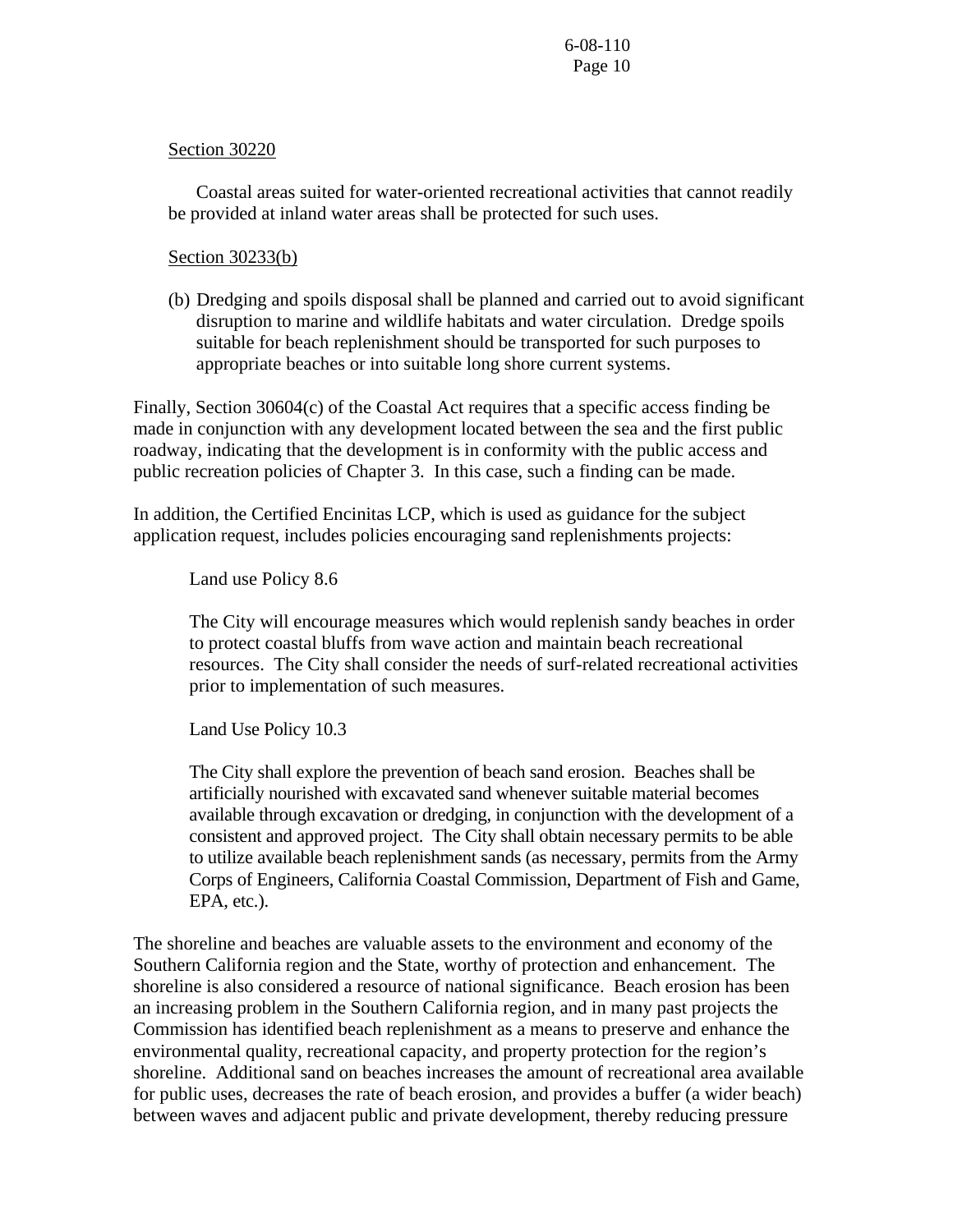#### Section 30220

 Coastal areas suited for water-oriented recreational activities that cannot readily be provided at inland water areas shall be protected for such uses.

#### Section 30233(b)

 (b) Dredging and spoils disposal shall be planned and carried out to avoid significant disruption to marine and wildlife habitats and water circulation. Dredge spoils suitable for beach replenishment should be transported for such purposes to appropriate beaches or into suitable long shore current systems.

Finally, Section 30604(c) of the Coastal Act requires that a specific access finding be made in conjunction with any development located between the sea and the first public roadway, indicating that the development is in conformity with the public access and public recreation policies of Chapter 3. In this case, such a finding can be made.

In addition, the Certified Encinitas LCP, which is used as guidance for the subject application request, includes policies encouraging sand replenishments projects:

Land use Policy 8.6

The City will encourage measures which would replenish sandy beaches in order to protect coastal bluffs from wave action and maintain beach recreational resources. The City shall consider the needs of surf-related recreational activities prior to implementation of such measures.

Land Use Policy 10.3

The City shall explore the prevention of beach sand erosion. Beaches shall be artificially nourished with excavated sand whenever suitable material becomes available through excavation or dredging, in conjunction with the development of a consistent and approved project. The City shall obtain necessary permits to be able to utilize available beach replenishment sands (as necessary, permits from the Army Corps of Engineers, California Coastal Commission, Department of Fish and Game, EPA, etc.).

The shoreline and beaches are valuable assets to the environment and economy of the Southern California region and the State, worthy of protection and enhancement. The shoreline is also considered a resource of national significance. Beach erosion has been an increasing problem in the Southern California region, and in many past projects the Commission has identified beach replenishment as a means to preserve and enhance the environmental quality, recreational capacity, and property protection for the region's shoreline. Additional sand on beaches increases the amount of recreational area available for public uses, decreases the rate of beach erosion, and provides a buffer (a wider beach) between waves and adjacent public and private development, thereby reducing pressure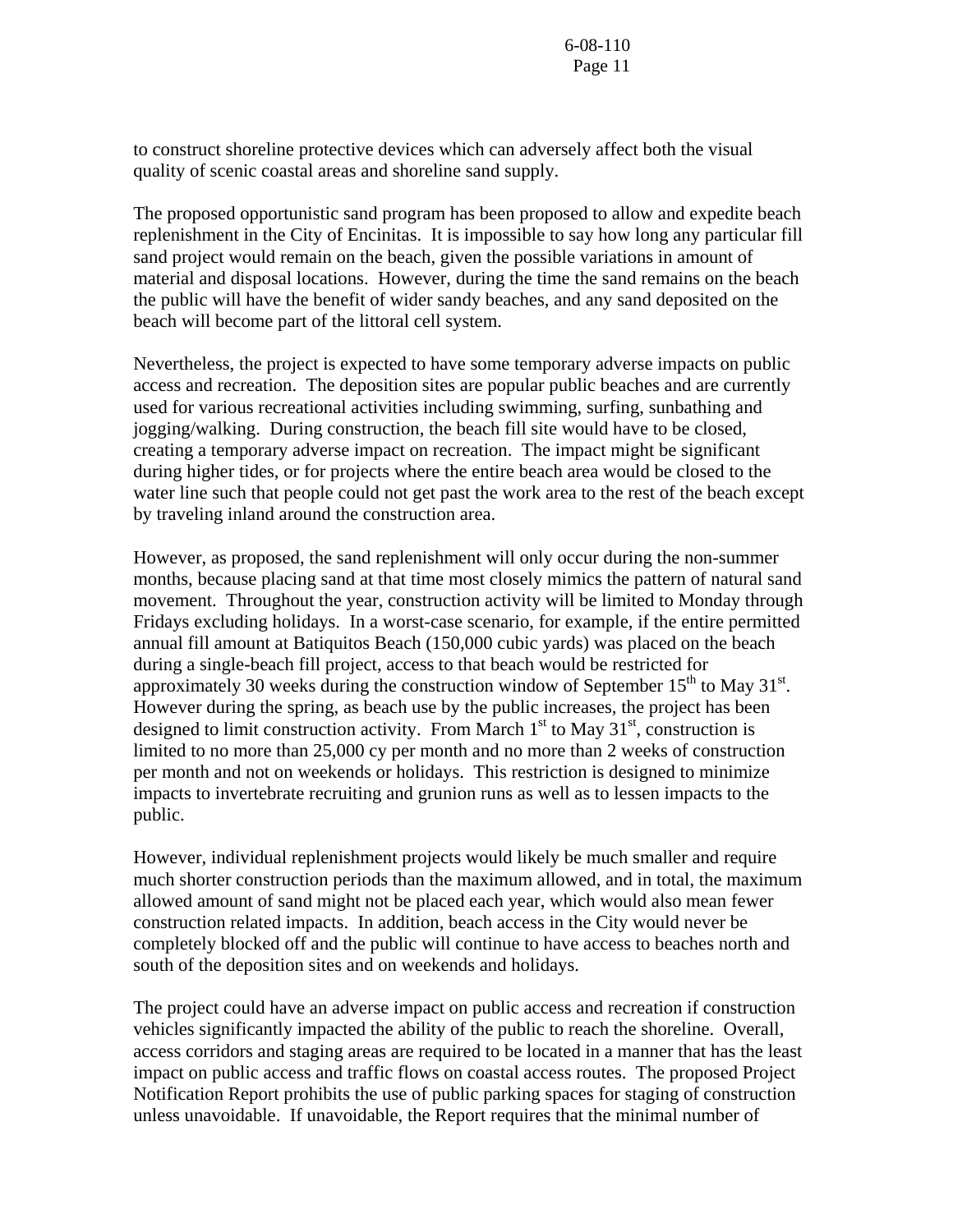to construct shoreline protective devices which can adversely affect both the visual quality of scenic coastal areas and shoreline sand supply.

The proposed opportunistic sand program has been proposed to allow and expedite beach replenishment in the City of Encinitas. It is impossible to say how long any particular fill sand project would remain on the beach, given the possible variations in amount of material and disposal locations. However, during the time the sand remains on the beach the public will have the benefit of wider sandy beaches, and any sand deposited on the beach will become part of the littoral cell system.

Nevertheless, the project is expected to have some temporary adverse impacts on public access and recreation. The deposition sites are popular public beaches and are currently used for various recreational activities including swimming, surfing, sunbathing and jogging/walking. During construction, the beach fill site would have to be closed, creating a temporary adverse impact on recreation. The impact might be significant during higher tides, or for projects where the entire beach area would be closed to the water line such that people could not get past the work area to the rest of the beach except by traveling inland around the construction area.

However, as proposed, the sand replenishment will only occur during the non-summer months, because placing sand at that time most closely mimics the pattern of natural sand movement. Throughout the year, construction activity will be limited to Monday through Fridays excluding holidays. In a worst-case scenario, for example, if the entire permitted annual fill amount at Batiquitos Beach (150,000 cubic yards) was placed on the beach during a single-beach fill project, access to that beach would be restricted for approximately 30 weeks during the construction window of September  $15<sup>th</sup>$  to May 31<sup>st</sup>. However during the spring, as beach use by the public increases, the project has been designed to limit construction activity. From March  $1<sup>st</sup>$  to May  $31<sup>st</sup>$ , construction is limited to no more than 25,000 cy per month and no more than 2 weeks of construction per month and not on weekends or holidays. This restriction is designed to minimize impacts to invertebrate recruiting and grunion runs as well as to lessen impacts to the public.

However, individual replenishment projects would likely be much smaller and require much shorter construction periods than the maximum allowed, and in total, the maximum allowed amount of sand might not be placed each year, which would also mean fewer construction related impacts. In addition, beach access in the City would never be completely blocked off and the public will continue to have access to beaches north and south of the deposition sites and on weekends and holidays.

The project could have an adverse impact on public access and recreation if construction vehicles significantly impacted the ability of the public to reach the shoreline. Overall, access corridors and staging areas are required to be located in a manner that has the least impact on public access and traffic flows on coastal access routes. The proposed Project Notification Report prohibits the use of public parking spaces for staging of construction unless unavoidable. If unavoidable, the Report requires that the minimal number of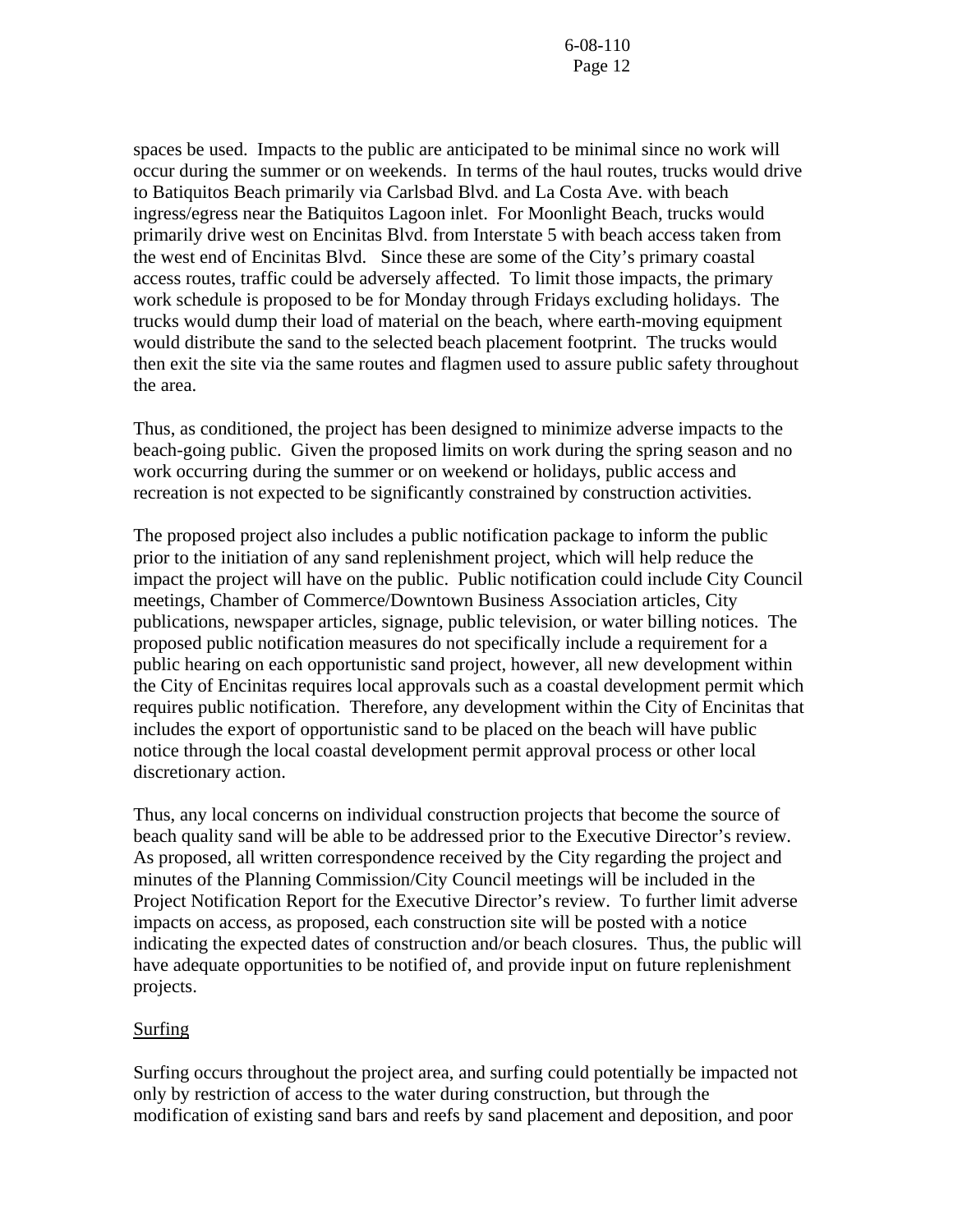spaces be used. Impacts to the public are anticipated to be minimal since no work will occur during the summer or on weekends. In terms of the haul routes, trucks would drive to Batiquitos Beach primarily via Carlsbad Blvd. and La Costa Ave. with beach ingress/egress near the Batiquitos Lagoon inlet. For Moonlight Beach, trucks would primarily drive west on Encinitas Blvd. from Interstate 5 with beach access taken from the west end of Encinitas Blvd. Since these are some of the City's primary coastal access routes, traffic could be adversely affected. To limit those impacts, the primary work schedule is proposed to be for Monday through Fridays excluding holidays. The trucks would dump their load of material on the beach, where earth-moving equipment would distribute the sand to the selected beach placement footprint. The trucks would then exit the site via the same routes and flagmen used to assure public safety throughout the area.

Thus, as conditioned, the project has been designed to minimize adverse impacts to the beach-going public. Given the proposed limits on work during the spring season and no work occurring during the summer or on weekend or holidays, public access and recreation is not expected to be significantly constrained by construction activities.

The proposed project also includes a public notification package to inform the public prior to the initiation of any sand replenishment project, which will help reduce the impact the project will have on the public. Public notification could include City Council meetings, Chamber of Commerce/Downtown Business Association articles, City publications, newspaper articles, signage, public television, or water billing notices. The proposed public notification measures do not specifically include a requirement for a public hearing on each opportunistic sand project, however, all new development within the City of Encinitas requires local approvals such as a coastal development permit which requires public notification. Therefore, any development within the City of Encinitas that includes the export of opportunistic sand to be placed on the beach will have public notice through the local coastal development permit approval process or other local discretionary action.

Thus, any local concerns on individual construction projects that become the source of beach quality sand will be able to be addressed prior to the Executive Director's review. As proposed, all written correspondence received by the City regarding the project and minutes of the Planning Commission/City Council meetings will be included in the Project Notification Report for the Executive Director's review. To further limit adverse impacts on access, as proposed, each construction site will be posted with a notice indicating the expected dates of construction and/or beach closures. Thus, the public will have adequate opportunities to be notified of, and provide input on future replenishment projects.

## Surfing

Surfing occurs throughout the project area, and surfing could potentially be impacted not only by restriction of access to the water during construction, but through the modification of existing sand bars and reefs by sand placement and deposition, and poor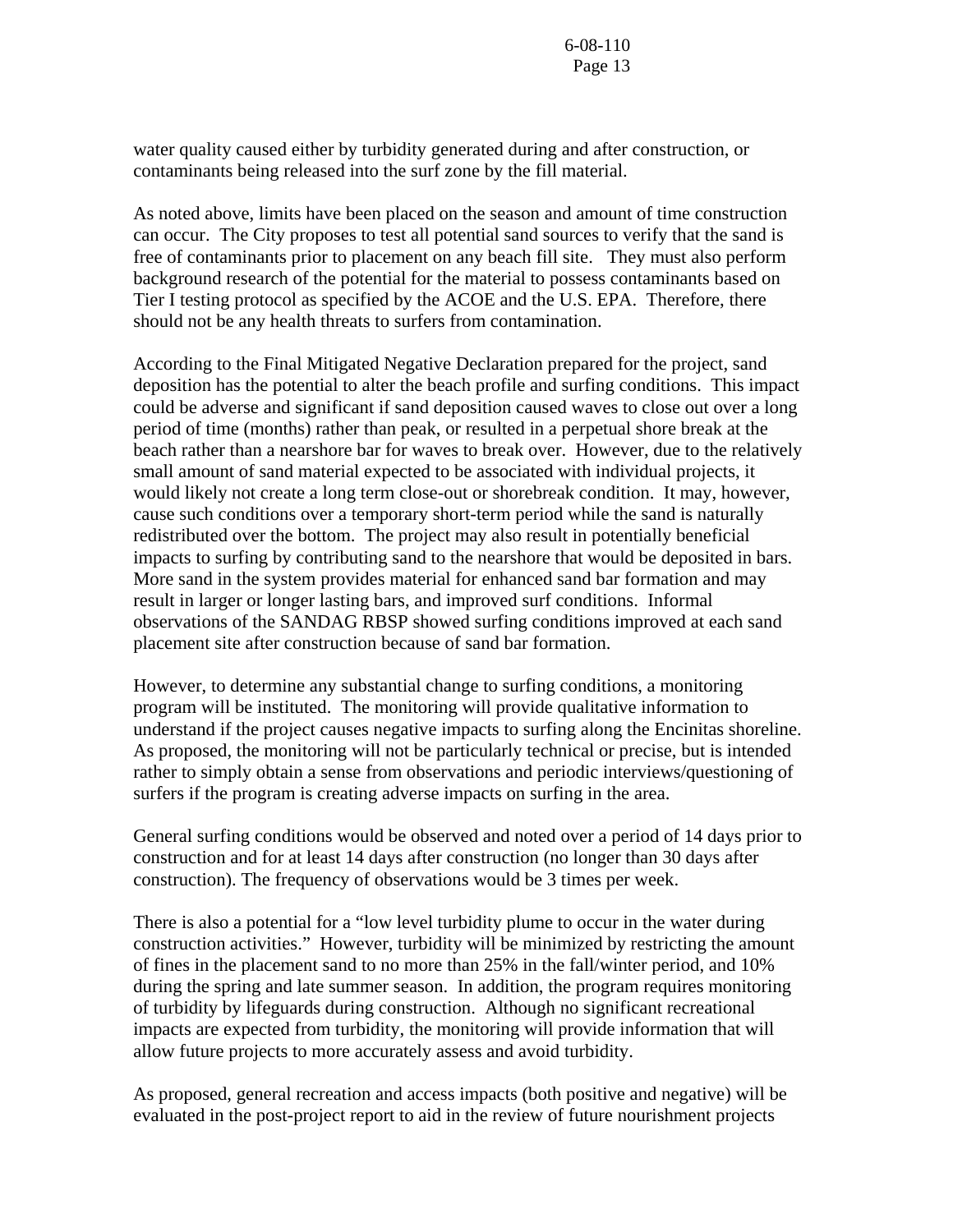water quality caused either by turbidity generated during and after construction, or contaminants being released into the surf zone by the fill material.

As noted above, limits have been placed on the season and amount of time construction can occur. The City proposes to test all potential sand sources to verify that the sand is free of contaminants prior to placement on any beach fill site. They must also perform background research of the potential for the material to possess contaminants based on Tier I testing protocol as specified by the ACOE and the U.S. EPA. Therefore, there should not be any health threats to surfers from contamination.

According to the Final Mitigated Negative Declaration prepared for the project, sand deposition has the potential to alter the beach profile and surfing conditions. This impact could be adverse and significant if sand deposition caused waves to close out over a long period of time (months) rather than peak, or resulted in a perpetual shore break at the beach rather than a nearshore bar for waves to break over. However, due to the relatively small amount of sand material expected to be associated with individual projects, it would likely not create a long term close-out or shorebreak condition. It may, however, cause such conditions over a temporary short-term period while the sand is naturally redistributed over the bottom. The project may also result in potentially beneficial impacts to surfing by contributing sand to the nearshore that would be deposited in bars. More sand in the system provides material for enhanced sand bar formation and may result in larger or longer lasting bars, and improved surf conditions. Informal observations of the SANDAG RBSP showed surfing conditions improved at each sand placement site after construction because of sand bar formation.

However, to determine any substantial change to surfing conditions, a monitoring program will be instituted. The monitoring will provide qualitative information to understand if the project causes negative impacts to surfing along the Encinitas shoreline. As proposed, the monitoring will not be particularly technical or precise, but is intended rather to simply obtain a sense from observations and periodic interviews/questioning of surfers if the program is creating adverse impacts on surfing in the area.

General surfing conditions would be observed and noted over a period of 14 days prior to construction and for at least 14 days after construction (no longer than 30 days after construction). The frequency of observations would be 3 times per week.

There is also a potential for a "low level turbidity plume to occur in the water during construction activities." However, turbidity will be minimized by restricting the amount of fines in the placement sand to no more than 25% in the fall/winter period, and 10% during the spring and late summer season. In addition, the program requires monitoring of turbidity by lifeguards during construction. Although no significant recreational impacts are expected from turbidity, the monitoring will provide information that will allow future projects to more accurately assess and avoid turbidity.

As proposed, general recreation and access impacts (both positive and negative) will be evaluated in the post-project report to aid in the review of future nourishment projects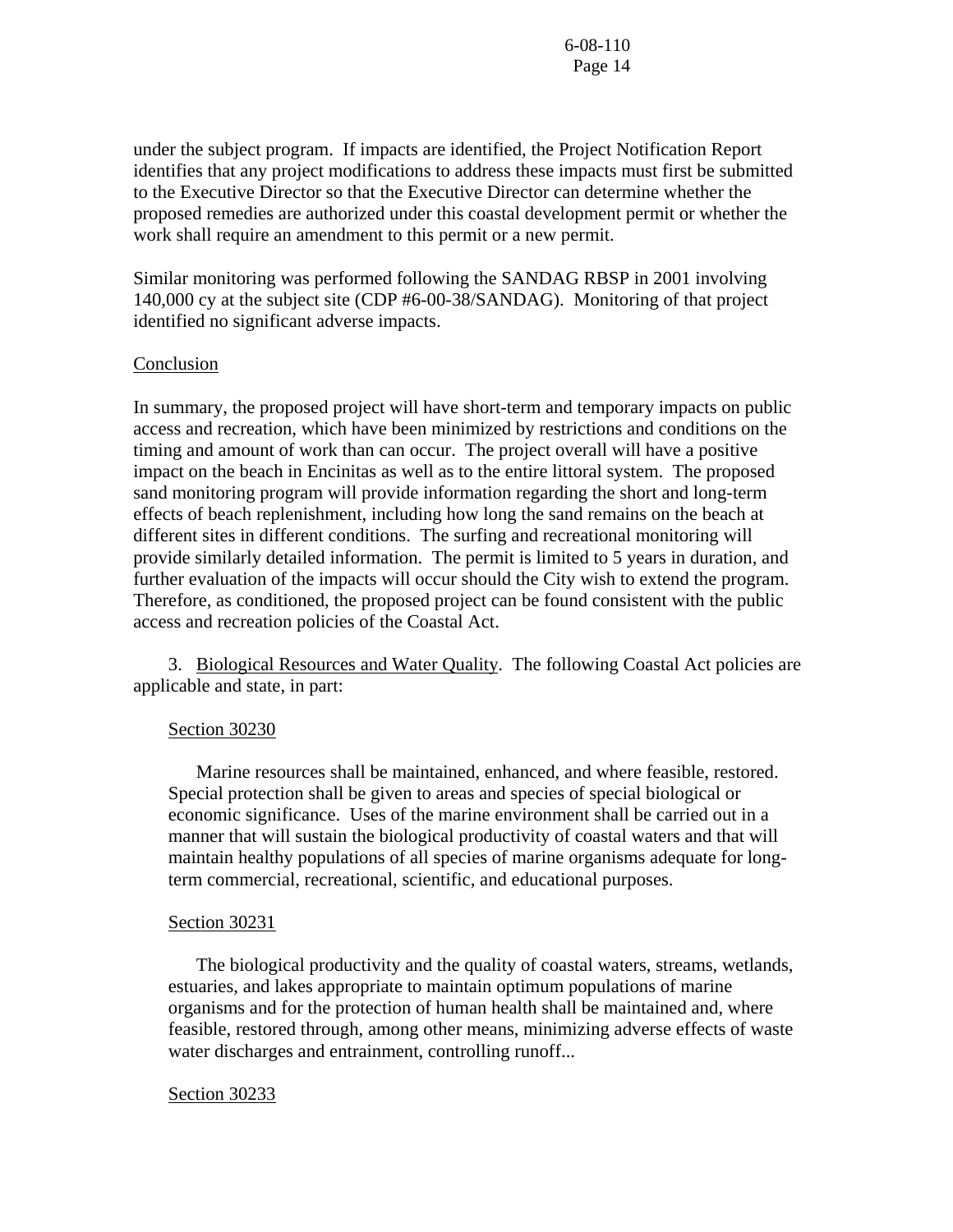under the subject program. If impacts are identified, the Project Notification Report identifies that any project modifications to address these impacts must first be submitted to the Executive Director so that the Executive Director can determine whether the proposed remedies are authorized under this coastal development permit or whether the work shall require an amendment to this permit or a new permit.

Similar monitoring was performed following the SANDAG RBSP in 2001 involving 140,000 cy at the subject site (CDP #6-00-38/SANDAG). Monitoring of that project identified no significant adverse impacts.

#### Conclusion

In summary, the proposed project will have short-term and temporary impacts on public access and recreation, which have been minimized by restrictions and conditions on the timing and amount of work than can occur. The project overall will have a positive impact on the beach in Encinitas as well as to the entire littoral system. The proposed sand monitoring program will provide information regarding the short and long-term effects of beach replenishment, including how long the sand remains on the beach at different sites in different conditions. The surfing and recreational monitoring will provide similarly detailed information. The permit is limited to 5 years in duration, and further evaluation of the impacts will occur should the City wish to extend the program. Therefore, as conditioned, the proposed project can be found consistent with the public access and recreation policies of the Coastal Act.

 3. Biological Resources and Water Quality. The following Coastal Act policies are applicable and state, in part:

#### Section 30230

 Marine resources shall be maintained, enhanced, and where feasible, restored. Special protection shall be given to areas and species of special biological or economic significance. Uses of the marine environment shall be carried out in a manner that will sustain the biological productivity of coastal waters and that will maintain healthy populations of all species of marine organisms adequate for longterm commercial, recreational, scientific, and educational purposes.

#### Section 30231

 The biological productivity and the quality of coastal waters, streams, wetlands, estuaries, and lakes appropriate to maintain optimum populations of marine organisms and for the protection of human health shall be maintained and, where feasible, restored through, among other means, minimizing adverse effects of waste water discharges and entrainment, controlling runoff...

#### Section 30233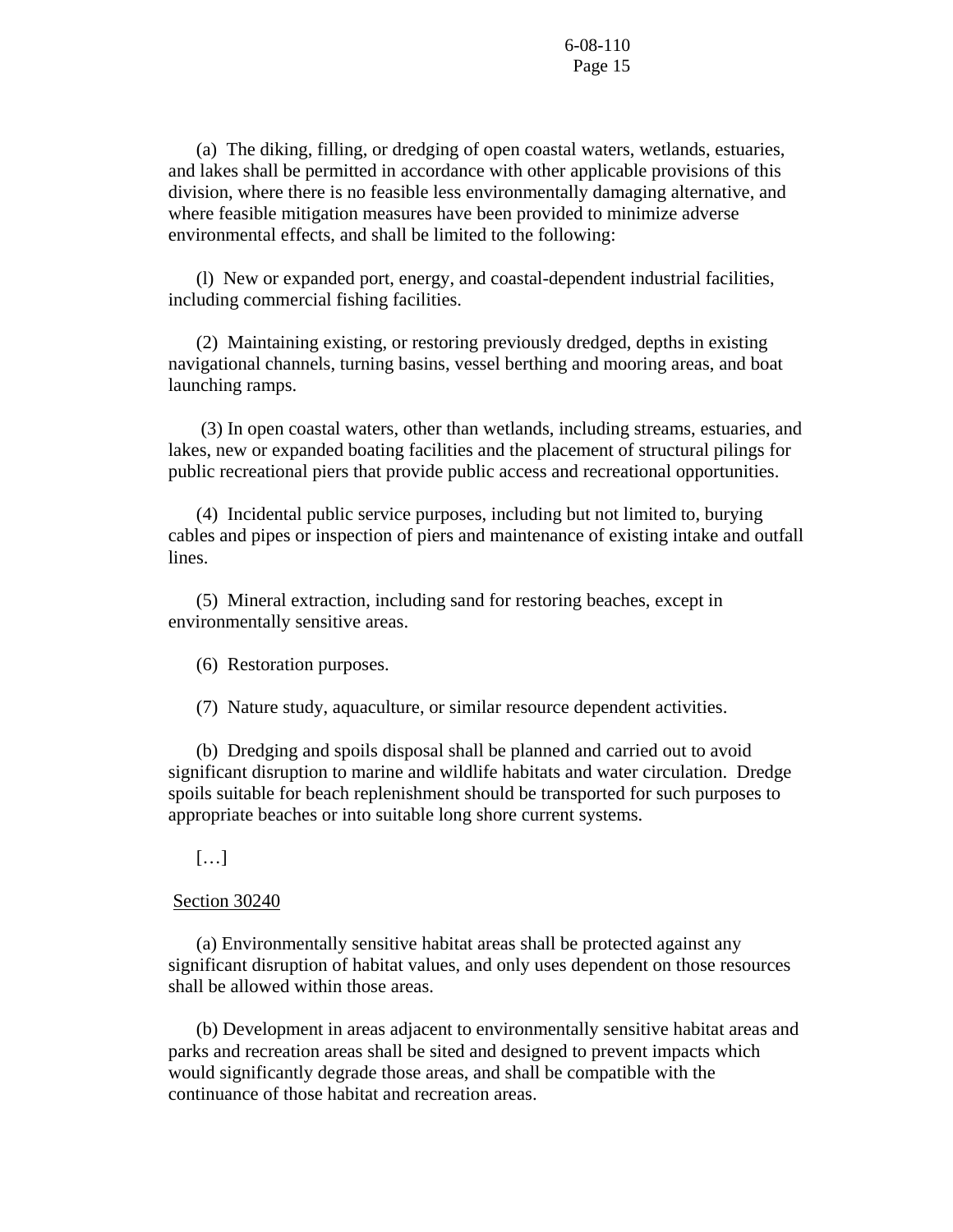(a) The diking, filling, or dredging of open coastal waters, wetlands, estuaries, and lakes shall be permitted in accordance with other applicable provisions of this division, where there is no feasible less environmentally damaging alternative, and where feasible mitigation measures have been provided to minimize adverse environmental effects, and shall be limited to the following:

 (l) New or expanded port, energy, and coastal-dependent industrial facilities, including commercial fishing facilities.

 (2) Maintaining existing, or restoring previously dredged, depths in existing navigational channels, turning basins, vessel berthing and mooring areas, and boat launching ramps.

 (3) In open coastal waters, other than wetlands, including streams, estuaries, and lakes, new or expanded boating facilities and the placement of structural pilings for public recreational piers that provide public access and recreational opportunities.

 (4) Incidental public service purposes, including but not limited to, burying cables and pipes or inspection of piers and maintenance of existing intake and outfall lines.

 (5) Mineral extraction, including sand for restoring beaches, except in environmentally sensitive areas.

(6) Restoration purposes.

(7) Nature study, aquaculture, or similar resource dependent activities.

 (b) Dredging and spoils disposal shall be planned and carried out to avoid significant disruption to marine and wildlife habitats and water circulation. Dredge spoils suitable for beach replenishment should be transported for such purposes to appropriate beaches or into suitable long shore current systems.

#### […]

#### Section 30240

 (a) Environmentally sensitive habitat areas shall be protected against any significant disruption of habitat values, and only uses dependent on those resources shall be allowed within those areas.

 (b) Development in areas adjacent to environmentally sensitive habitat areas and parks and recreation areas shall be sited and designed to prevent impacts which would significantly degrade those areas, and shall be compatible with the continuance of those habitat and recreation areas.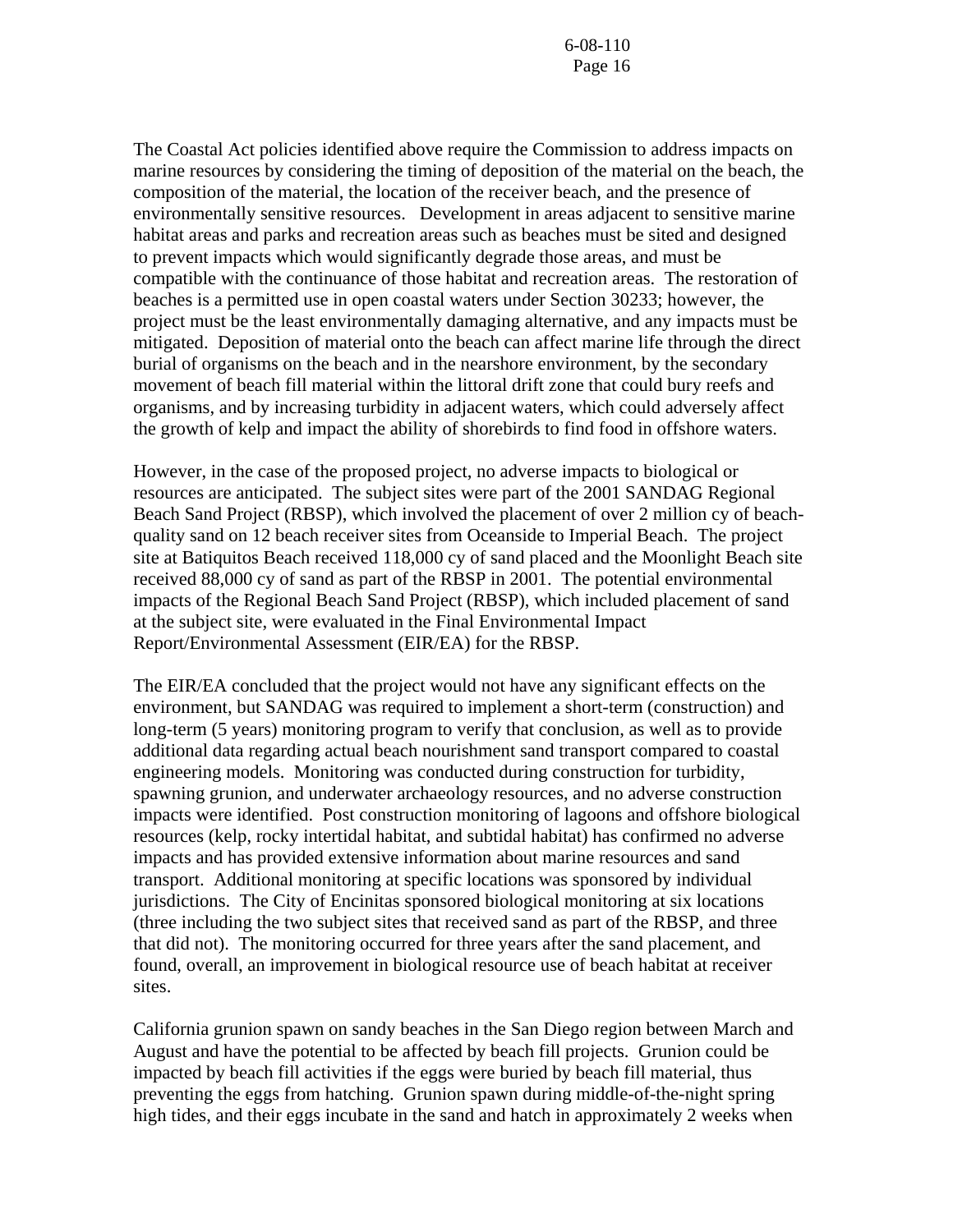The Coastal Act policies identified above require the Commission to address impacts on marine resources by considering the timing of deposition of the material on the beach, the composition of the material, the location of the receiver beach, and the presence of environmentally sensitive resources. Development in areas adjacent to sensitive marine habitat areas and parks and recreation areas such as beaches must be sited and designed to prevent impacts which would significantly degrade those areas, and must be compatible with the continuance of those habitat and recreation areas. The restoration of beaches is a permitted use in open coastal waters under Section 30233; however, the project must be the least environmentally damaging alternative, and any impacts must be mitigated. Deposition of material onto the beach can affect marine life through the direct burial of organisms on the beach and in the nearshore environment, by the secondary movement of beach fill material within the littoral drift zone that could bury reefs and organisms, and by increasing turbidity in adjacent waters, which could adversely affect the growth of kelp and impact the ability of shorebirds to find food in offshore waters.

However, in the case of the proposed project, no adverse impacts to biological or resources are anticipated. The subject sites were part of the 2001 SANDAG Regional Beach Sand Project (RBSP), which involved the placement of over 2 million cy of beachquality sand on 12 beach receiver sites from Oceanside to Imperial Beach. The project site at Batiquitos Beach received 118,000 cy of sand placed and the Moonlight Beach site received 88,000 cy of sand as part of the RBSP in 2001. The potential environmental impacts of the Regional Beach Sand Project (RBSP), which included placement of sand at the subject site, were evaluated in the Final Environmental Impact Report/Environmental Assessment (EIR/EA) for the RBSP.

The EIR/EA concluded that the project would not have any significant effects on the environment, but SANDAG was required to implement a short-term (construction) and long-term (5 years) monitoring program to verify that conclusion, as well as to provide additional data regarding actual beach nourishment sand transport compared to coastal engineering models. Monitoring was conducted during construction for turbidity, spawning grunion, and underwater archaeology resources, and no adverse construction impacts were identified. Post construction monitoring of lagoons and offshore biological resources (kelp, rocky intertidal habitat, and subtidal habitat) has confirmed no adverse impacts and has provided extensive information about marine resources and sand transport. Additional monitoring at specific locations was sponsored by individual jurisdictions. The City of Encinitas sponsored biological monitoring at six locations (three including the two subject sites that received sand as part of the RBSP, and three that did not). The monitoring occurred for three years after the sand placement, and found, overall, an improvement in biological resource use of beach habitat at receiver sites.

California grunion spawn on sandy beaches in the San Diego region between March and August and have the potential to be affected by beach fill projects. Grunion could be impacted by beach fill activities if the eggs were buried by beach fill material, thus preventing the eggs from hatching. Grunion spawn during middle-of-the-night spring high tides, and their eggs incubate in the sand and hatch in approximately 2 weeks when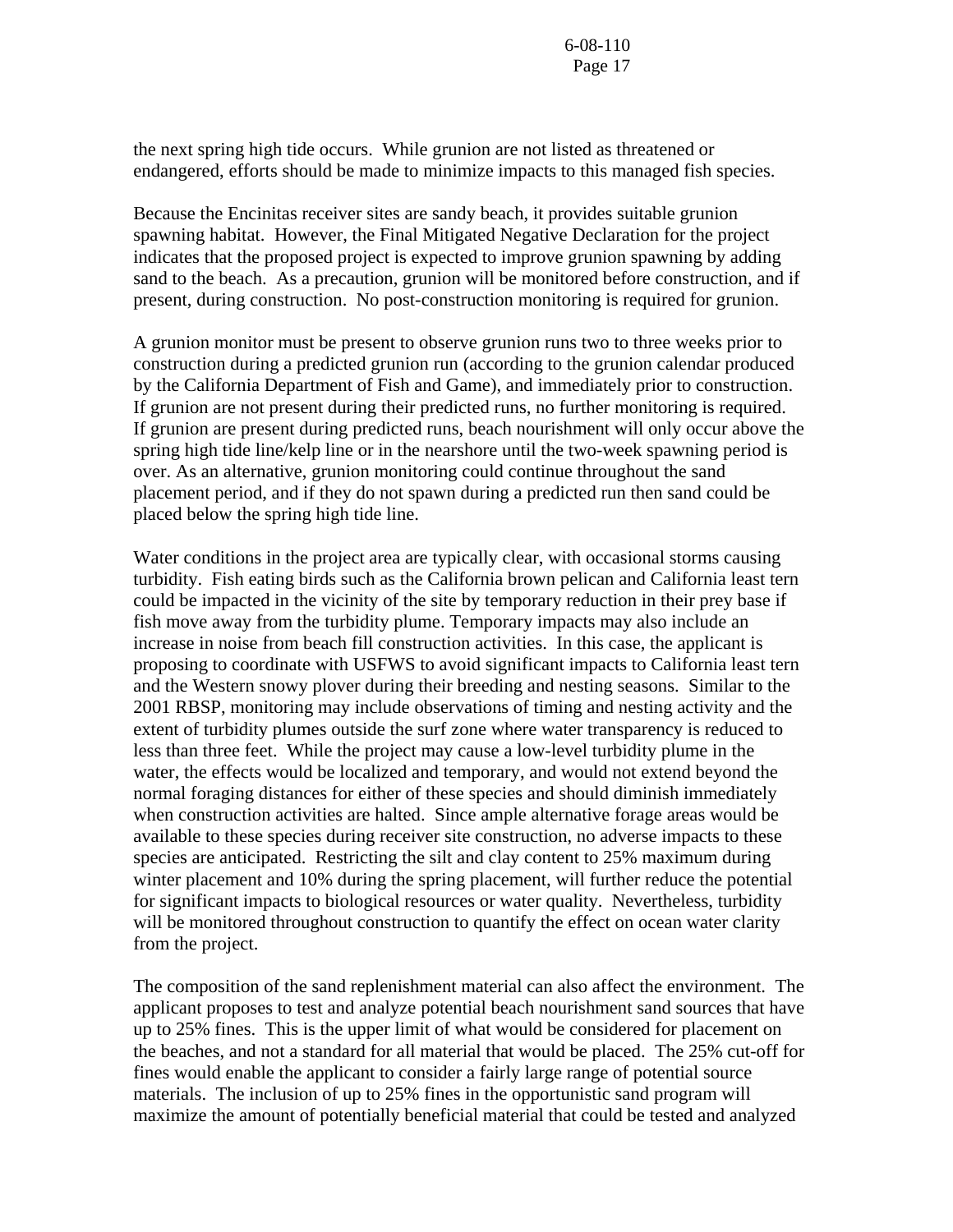the next spring high tide occurs. While grunion are not listed as threatened or endangered, efforts should be made to minimize impacts to this managed fish species.

Because the Encinitas receiver sites are sandy beach, it provides suitable grunion spawning habitat. However, the Final Mitigated Negative Declaration for the project indicates that the proposed project is expected to improve grunion spawning by adding sand to the beach. As a precaution, grunion will be monitored before construction, and if present, during construction. No post-construction monitoring is required for grunion.

A grunion monitor must be present to observe grunion runs two to three weeks prior to construction during a predicted grunion run (according to the grunion calendar produced by the California Department of Fish and Game), and immediately prior to construction. If grunion are not present during their predicted runs, no further monitoring is required. If grunion are present during predicted runs, beach nourishment will only occur above the spring high tide line/kelp line or in the nearshore until the two-week spawning period is over. As an alternative, grunion monitoring could continue throughout the sand placement period, and if they do not spawn during a predicted run then sand could be placed below the spring high tide line.

Water conditions in the project area are typically clear, with occasional storms causing turbidity. Fish eating birds such as the California brown pelican and California least tern could be impacted in the vicinity of the site by temporary reduction in their prey base if fish move away from the turbidity plume. Temporary impacts may also include an increase in noise from beach fill construction activities. In this case, the applicant is proposing to coordinate with USFWS to avoid significant impacts to California least tern and the Western snowy plover during their breeding and nesting seasons. Similar to the 2001 RBSP, monitoring may include observations of timing and nesting activity and the extent of turbidity plumes outside the surf zone where water transparency is reduced to less than three feet. While the project may cause a low-level turbidity plume in the water, the effects would be localized and temporary, and would not extend beyond the normal foraging distances for either of these species and should diminish immediately when construction activities are halted. Since ample alternative forage areas would be available to these species during receiver site construction, no adverse impacts to these species are anticipated. Restricting the silt and clay content to 25% maximum during winter placement and 10% during the spring placement, will further reduce the potential for significant impacts to biological resources or water quality. Nevertheless, turbidity will be monitored throughout construction to quantify the effect on ocean water clarity from the project.

The composition of the sand replenishment material can also affect the environment. The applicant proposes to test and analyze potential beach nourishment sand sources that have up to 25% fines. This is the upper limit of what would be considered for placement on the beaches, and not a standard for all material that would be placed. The 25% cut-off for fines would enable the applicant to consider a fairly large range of potential source materials. The inclusion of up to 25% fines in the opportunistic sand program will maximize the amount of potentially beneficial material that could be tested and analyzed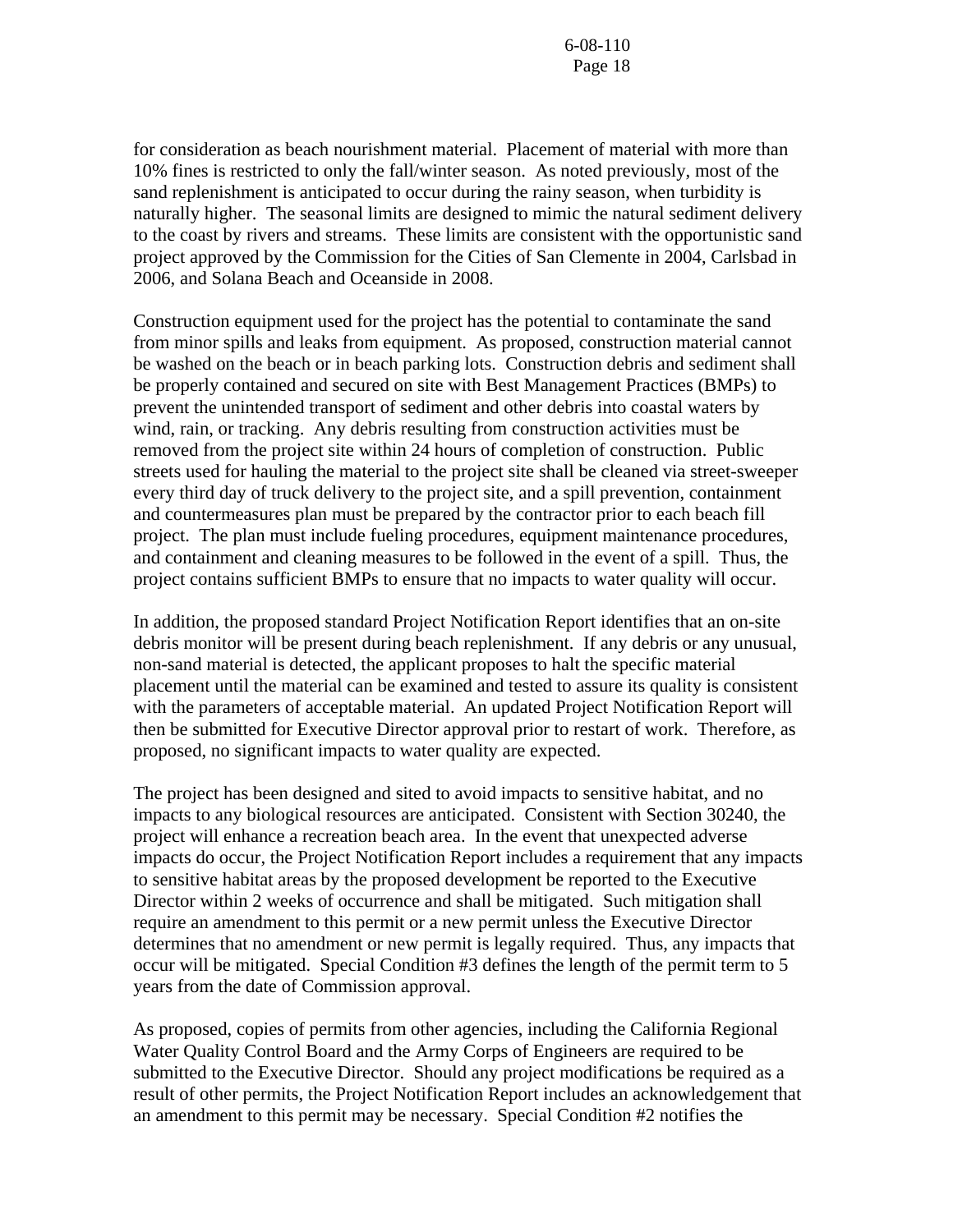for consideration as beach nourishment material. Placement of material with more than 10% fines is restricted to only the fall/winter season. As noted previously, most of the sand replenishment is anticipated to occur during the rainy season, when turbidity is naturally higher. The seasonal limits are designed to mimic the natural sediment delivery to the coast by rivers and streams. These limits are consistent with the opportunistic sand project approved by the Commission for the Cities of San Clemente in 2004, Carlsbad in 2006, and Solana Beach and Oceanside in 2008.

Construction equipment used for the project has the potential to contaminate the sand from minor spills and leaks from equipment. As proposed, construction material cannot be washed on the beach or in beach parking lots. Construction debris and sediment shall be properly contained and secured on site with Best Management Practices (BMPs) to prevent the unintended transport of sediment and other debris into coastal waters by wind, rain, or tracking. Any debris resulting from construction activities must be removed from the project site within 24 hours of completion of construction. Public streets used for hauling the material to the project site shall be cleaned via street-sweeper every third day of truck delivery to the project site, and a spill prevention, containment and countermeasures plan must be prepared by the contractor prior to each beach fill project. The plan must include fueling procedures, equipment maintenance procedures, and containment and cleaning measures to be followed in the event of a spill. Thus, the project contains sufficient BMPs to ensure that no impacts to water quality will occur.

In addition, the proposed standard Project Notification Report identifies that an on-site debris monitor will be present during beach replenishment. If any debris or any unusual, non-sand material is detected, the applicant proposes to halt the specific material placement until the material can be examined and tested to assure its quality is consistent with the parameters of acceptable material. An updated Project Notification Report will then be submitted for Executive Director approval prior to restart of work. Therefore, as proposed, no significant impacts to water quality are expected.

The project has been designed and sited to avoid impacts to sensitive habitat, and no impacts to any biological resources are anticipated. Consistent with Section 30240, the project will enhance a recreation beach area. In the event that unexpected adverse impacts do occur, the Project Notification Report includes a requirement that any impacts to sensitive habitat areas by the proposed development be reported to the Executive Director within 2 weeks of occurrence and shall be mitigated. Such mitigation shall require an amendment to this permit or a new permit unless the Executive Director determines that no amendment or new permit is legally required. Thus, any impacts that occur will be mitigated. Special Condition #3 defines the length of the permit term to 5 years from the date of Commission approval.

As proposed, copies of permits from other agencies, including the California Regional Water Quality Control Board and the Army Corps of Engineers are required to be submitted to the Executive Director. Should any project modifications be required as a result of other permits, the Project Notification Report includes an acknowledgement that an amendment to this permit may be necessary. Special Condition #2 notifies the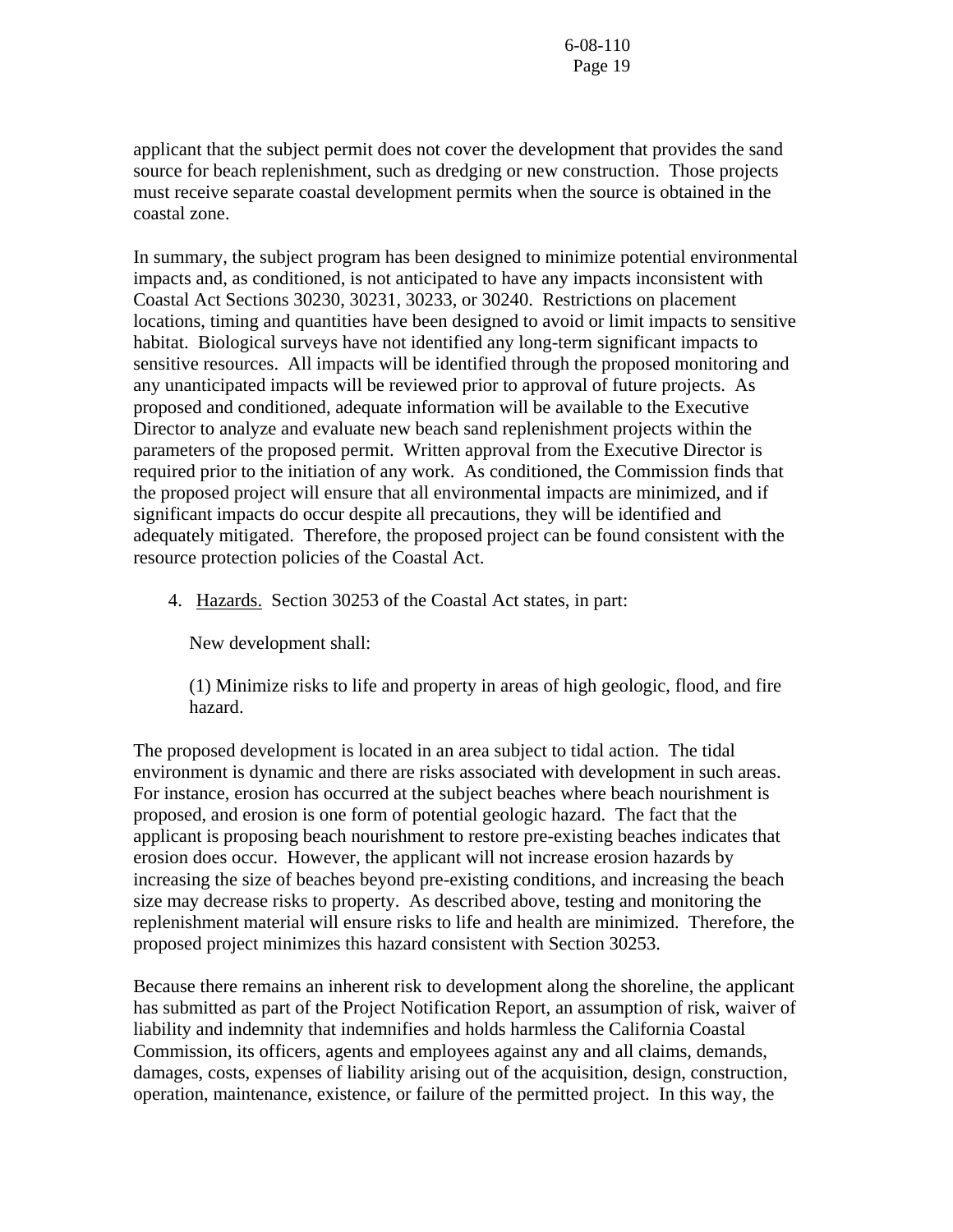applicant that the subject permit does not cover the development that provides the sand source for beach replenishment, such as dredging or new construction. Those projects must receive separate coastal development permits when the source is obtained in the coastal zone.

In summary, the subject program has been designed to minimize potential environmental impacts and, as conditioned, is not anticipated to have any impacts inconsistent with Coastal Act Sections 30230, 30231, 30233, or 30240. Restrictions on placement locations, timing and quantities have been designed to avoid or limit impacts to sensitive habitat. Biological surveys have not identified any long-term significant impacts to sensitive resources. All impacts will be identified through the proposed monitoring and any unanticipated impacts will be reviewed prior to approval of future projects. As proposed and conditioned, adequate information will be available to the Executive Director to analyze and evaluate new beach sand replenishment projects within the parameters of the proposed permit. Written approval from the Executive Director is required prior to the initiation of any work. As conditioned, the Commission finds that the proposed project will ensure that all environmental impacts are minimized, and if significant impacts do occur despite all precautions, they will be identified and adequately mitigated. Therefore, the proposed project can be found consistent with the resource protection policies of the Coastal Act.

4. Hazards. Section 30253 of the Coastal Act states, in part:

New development shall:

(1) Minimize risks to life and property in areas of high geologic, flood, and fire hazard.

The proposed development is located in an area subject to tidal action. The tidal environment is dynamic and there are risks associated with development in such areas. For instance, erosion has occurred at the subject beaches where beach nourishment is proposed, and erosion is one form of potential geologic hazard. The fact that the applicant is proposing beach nourishment to restore pre-existing beaches indicates that erosion does occur. However, the applicant will not increase erosion hazards by increasing the size of beaches beyond pre-existing conditions, and increasing the beach size may decrease risks to property. As described above, testing and monitoring the replenishment material will ensure risks to life and health are minimized. Therefore, the proposed project minimizes this hazard consistent with Section 30253.

Because there remains an inherent risk to development along the shoreline, the applicant has submitted as part of the Project Notification Report, an assumption of risk, waiver of liability and indemnity that indemnifies and holds harmless the California Coastal Commission, its officers, agents and employees against any and all claims, demands, damages, costs, expenses of liability arising out of the acquisition, design, construction, operation, maintenance, existence, or failure of the permitted project. In this way, the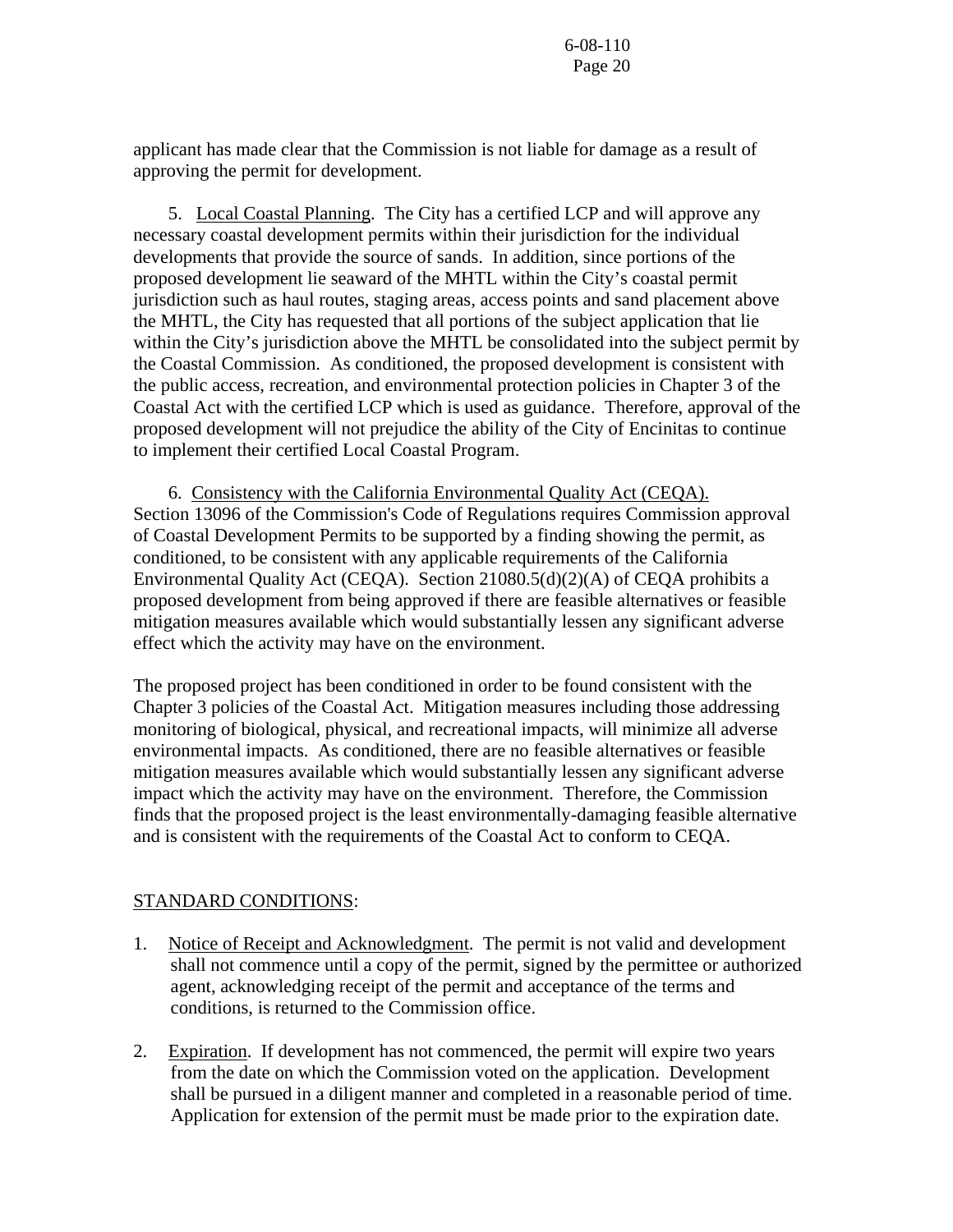applicant has made clear that the Commission is not liable for damage as a result of approving the permit for development.

 5. Local Coastal Planning. The City has a certified LCP and will approve any necessary coastal development permits within their jurisdiction for the individual developments that provide the source of sands. In addition, since portions of the proposed development lie seaward of the MHTL within the City's coastal permit jurisdiction such as haul routes, staging areas, access points and sand placement above the MHTL, the City has requested that all portions of the subject application that lie within the City's jurisdiction above the MHTL be consolidated into the subject permit by the Coastal Commission. As conditioned, the proposed development is consistent with the public access, recreation, and environmental protection policies in Chapter 3 of the Coastal Act with the certified LCP which is used as guidance. Therefore, approval of the proposed development will not prejudice the ability of the City of Encinitas to continue to implement their certified Local Coastal Program.

 6. Consistency with the California Environmental Quality Act (CEQA). Section 13096 of the Commission's Code of Regulations requires Commission approval of Coastal Development Permits to be supported by a finding showing the permit, as conditioned, to be consistent with any applicable requirements of the California Environmental Quality Act (CEQA). Section 21080.5(d)(2)(A) of CEQA prohibits a proposed development from being approved if there are feasible alternatives or feasible mitigation measures available which would substantially lessen any significant adverse effect which the activity may have on the environment.

The proposed project has been conditioned in order to be found consistent with the Chapter 3 policies of the Coastal Act. Mitigation measures including those addressing monitoring of biological, physical, and recreational impacts, will minimize all adverse environmental impacts. As conditioned, there are no feasible alternatives or feasible mitigation measures available which would substantially lessen any significant adverse impact which the activity may have on the environment. Therefore, the Commission finds that the proposed project is the least environmentally-damaging feasible alternative and is consistent with the requirements of the Coastal Act to conform to CEQA.

## STANDARD CONDITIONS:

- 1. Notice of Receipt and Acknowledgment. The permit is not valid and development shall not commence until a copy of the permit, signed by the permittee or authorized agent, acknowledging receipt of the permit and acceptance of the terms and conditions, is returned to the Commission office.
- 2. Expiration. If development has not commenced, the permit will expire two years from the date on which the Commission voted on the application. Development shall be pursued in a diligent manner and completed in a reasonable period of time. Application for extension of the permit must be made prior to the expiration date.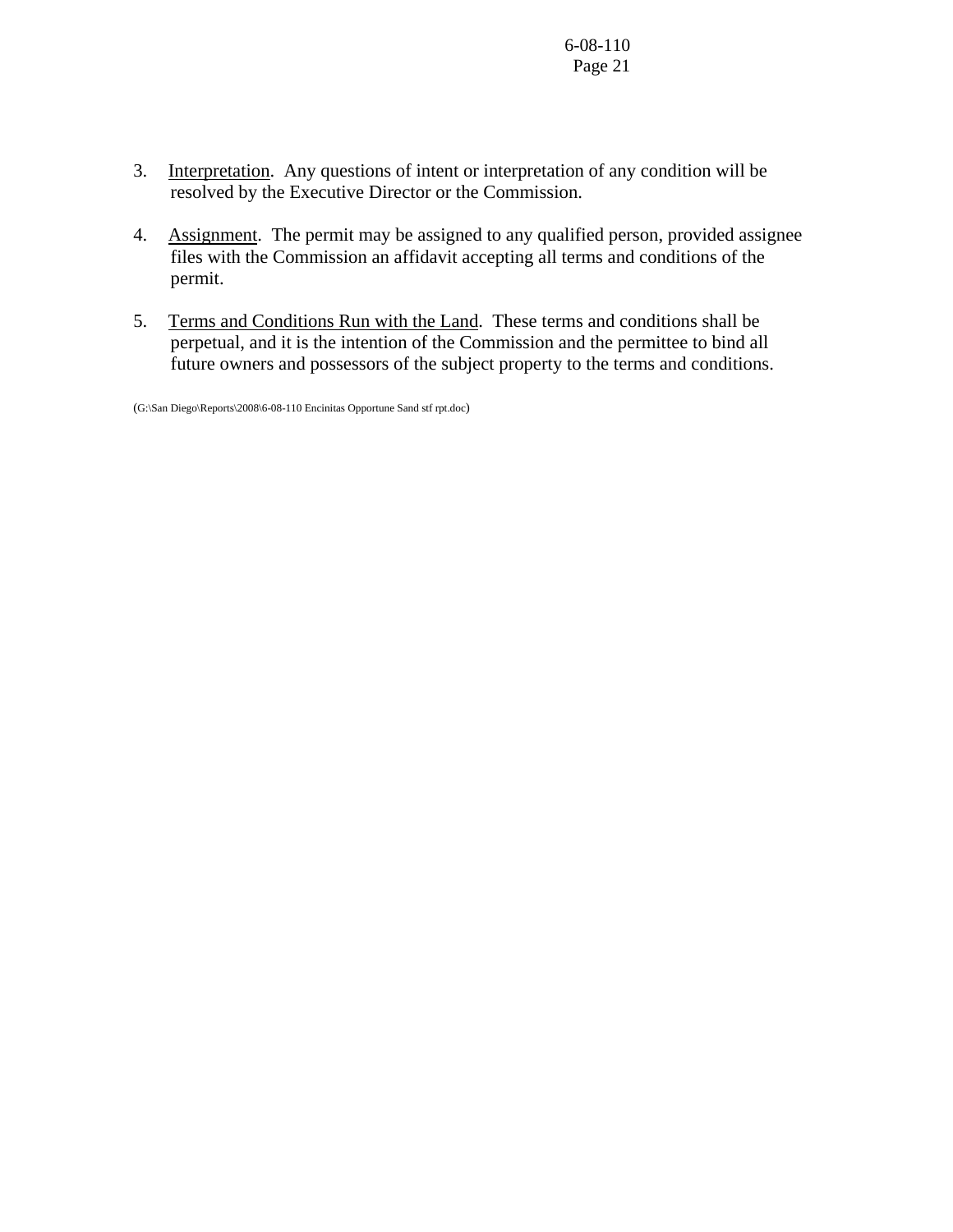- 3. Interpretation. Any questions of intent or interpretation of any condition will be resolved by the Executive Director or the Commission.
- 4. Assignment. The permit may be assigned to any qualified person, provided assignee files with the Commission an affidavit accepting all terms and conditions of the permit.
- 5. Terms and Conditions Run with the Land. These terms and conditions shall be perpetual, and it is the intention of the Commission and the permittee to bind all future owners and possessors of the subject property to the terms and conditions.

(G:\San Diego\Reports\2008\6-08-110 Encinitas Opportune Sand stf rpt.doc)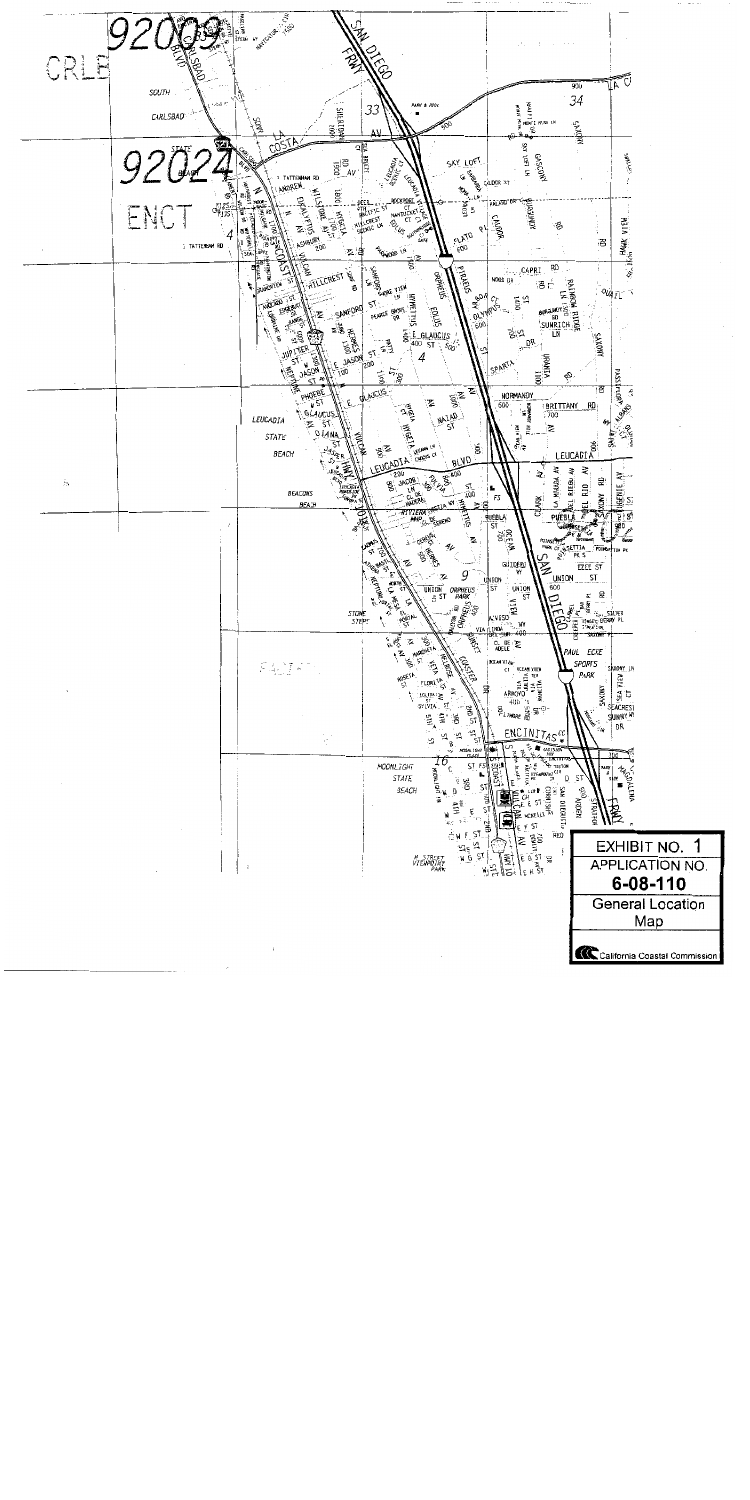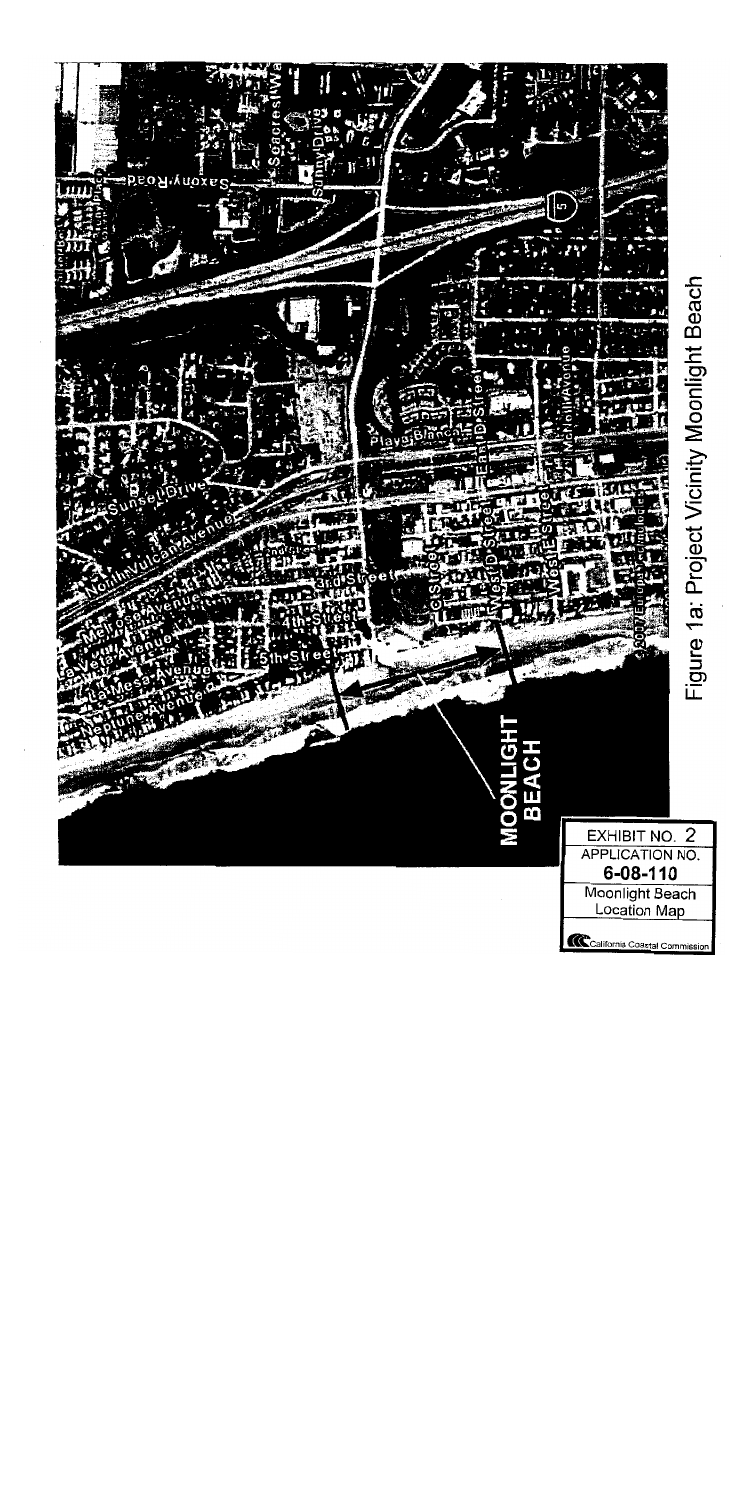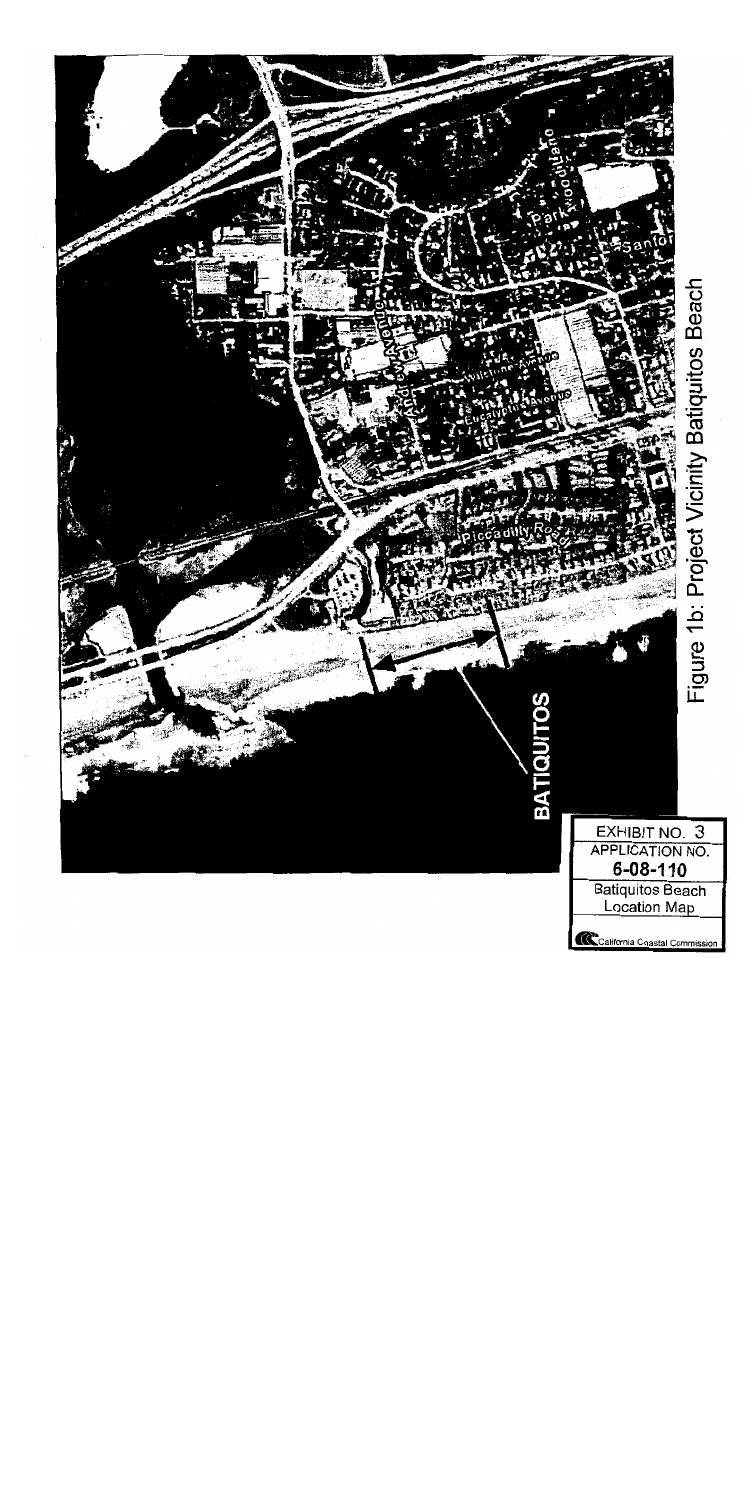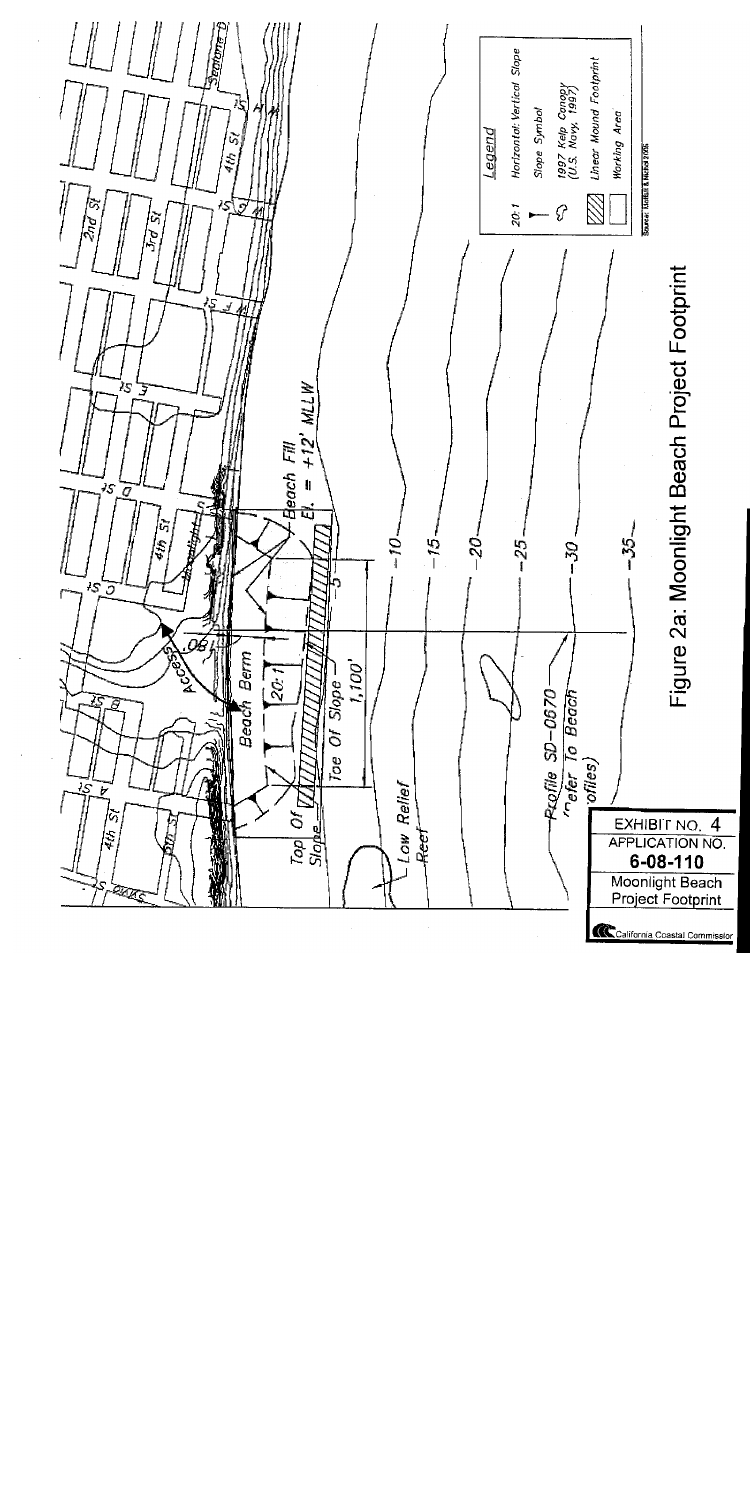

California Coastal Commission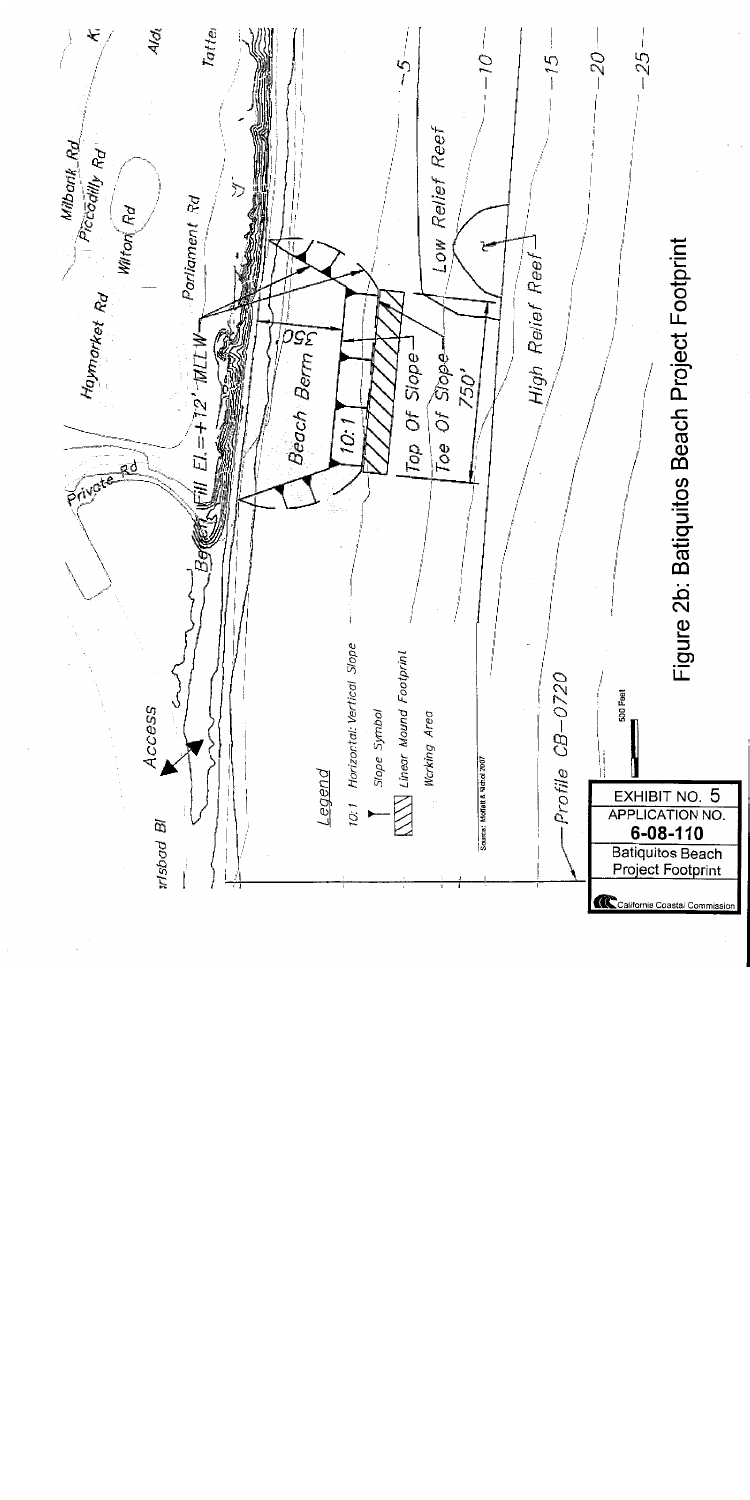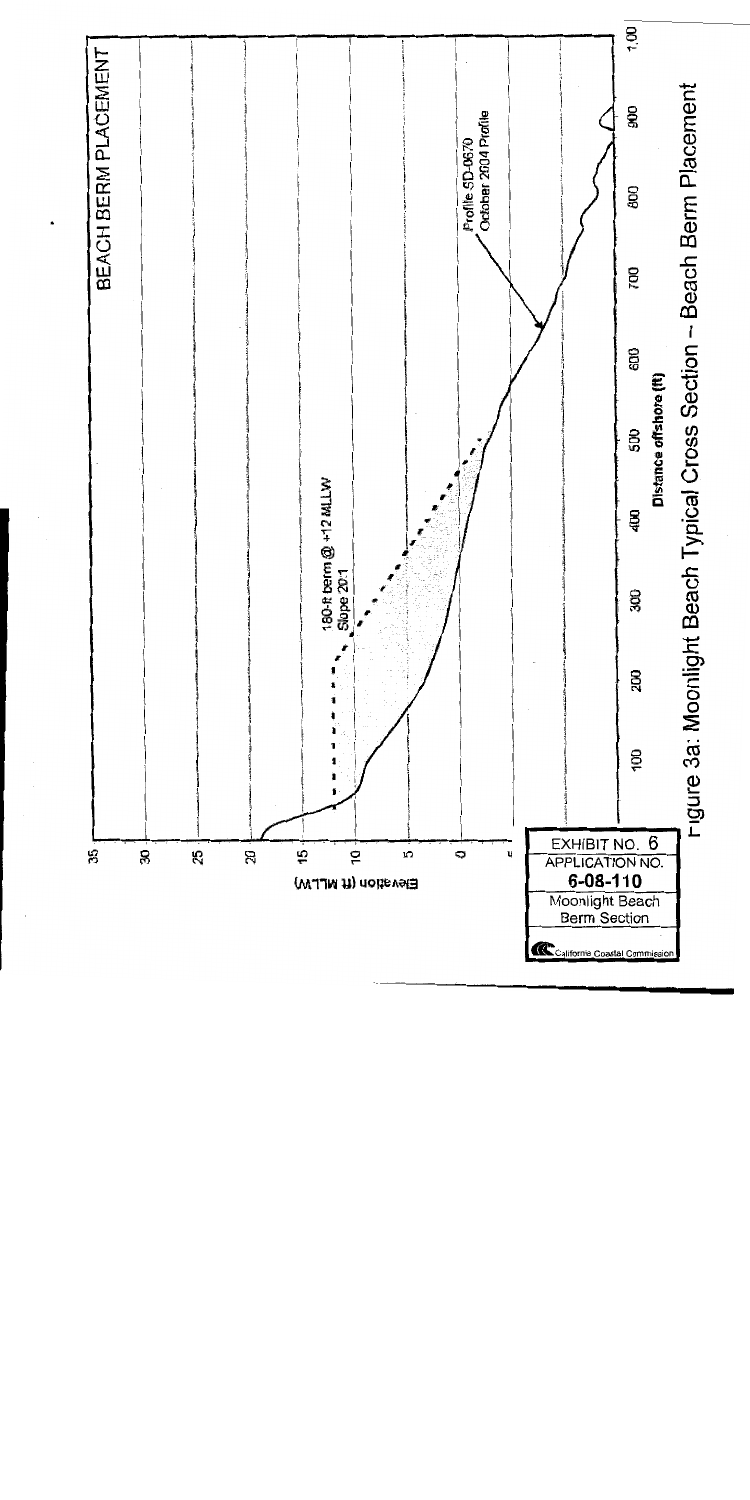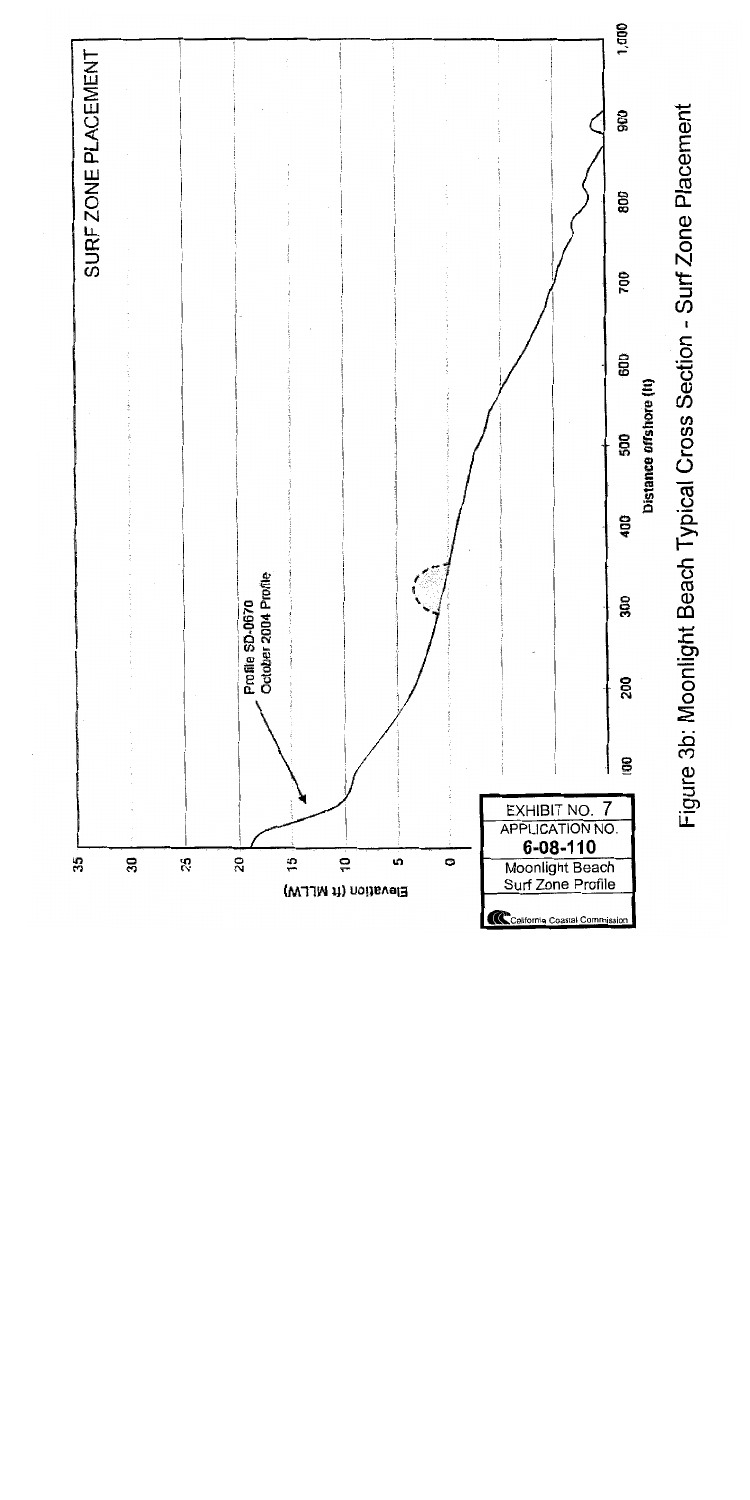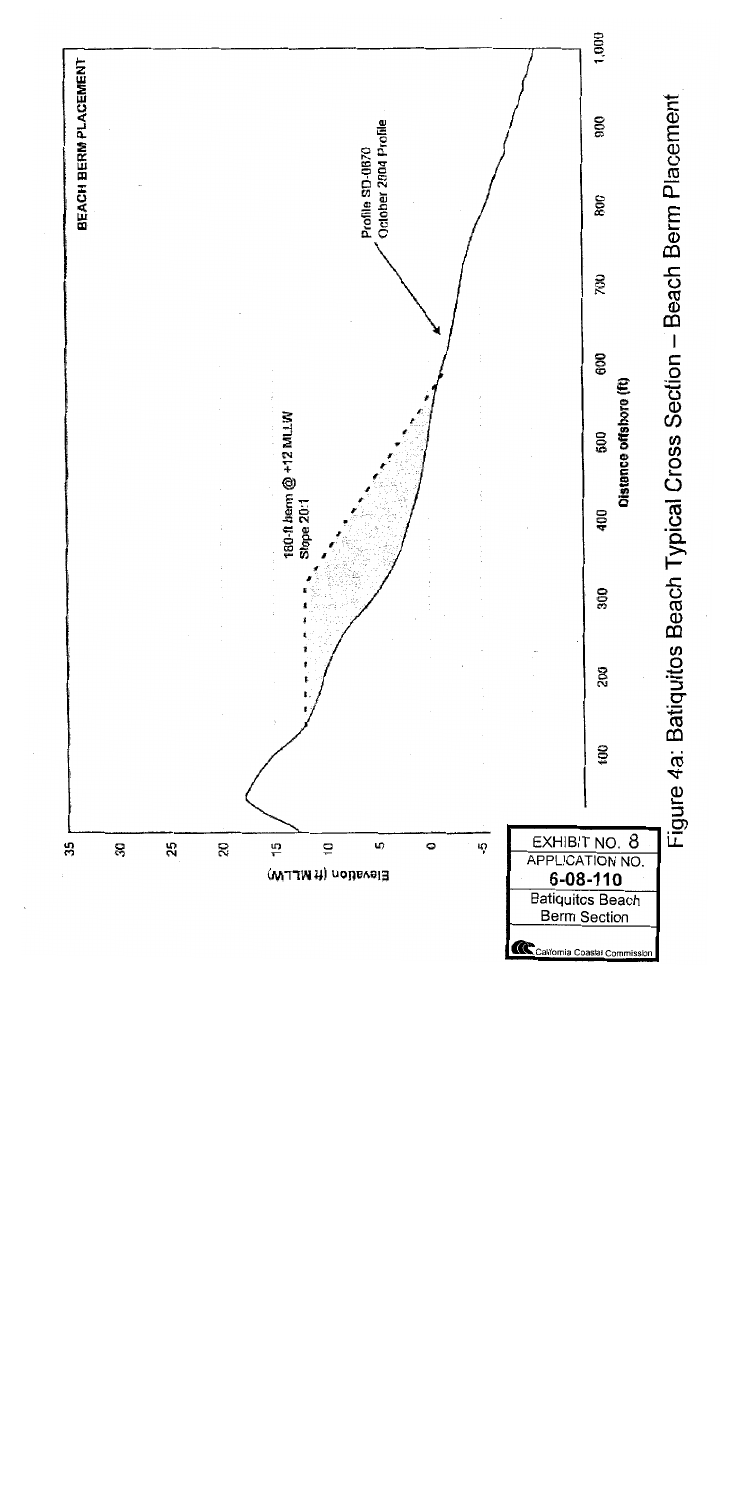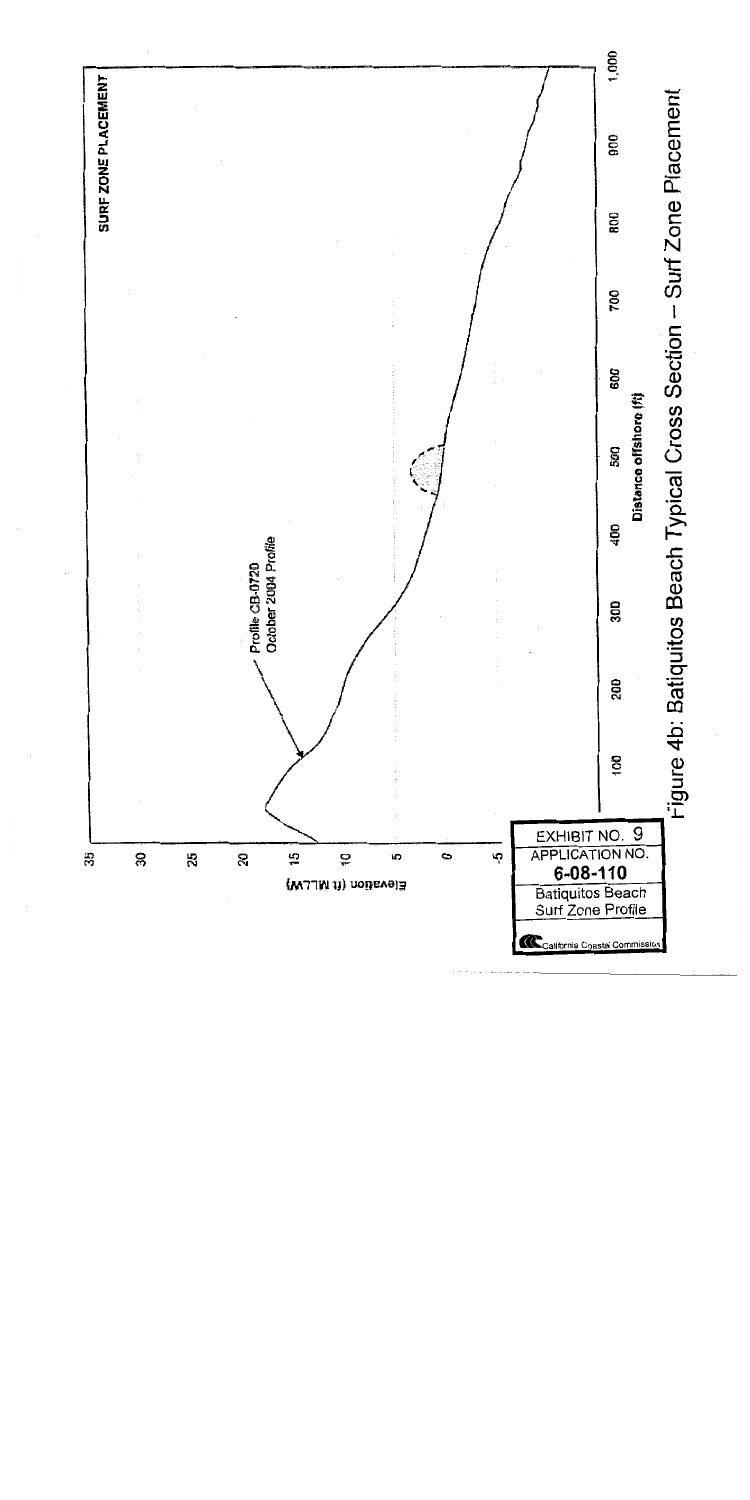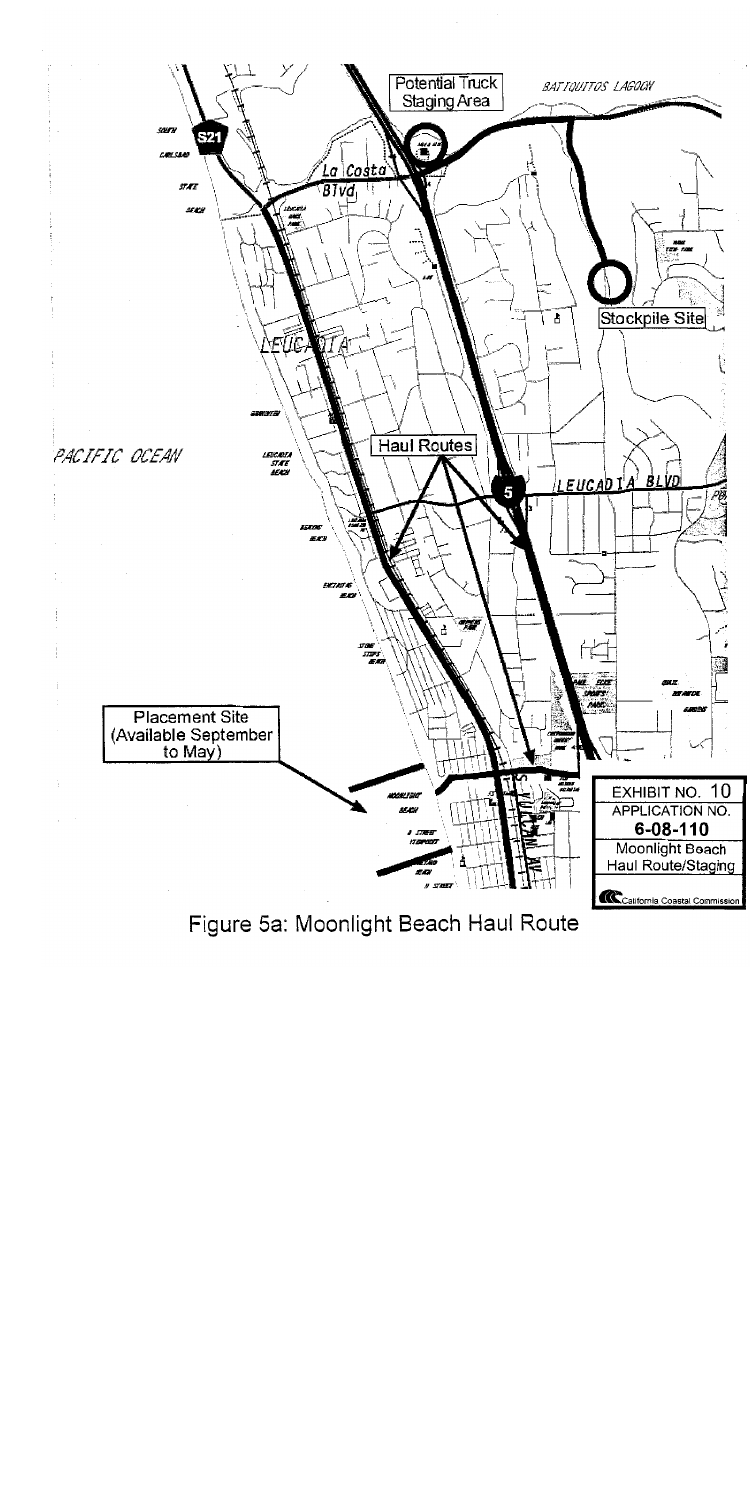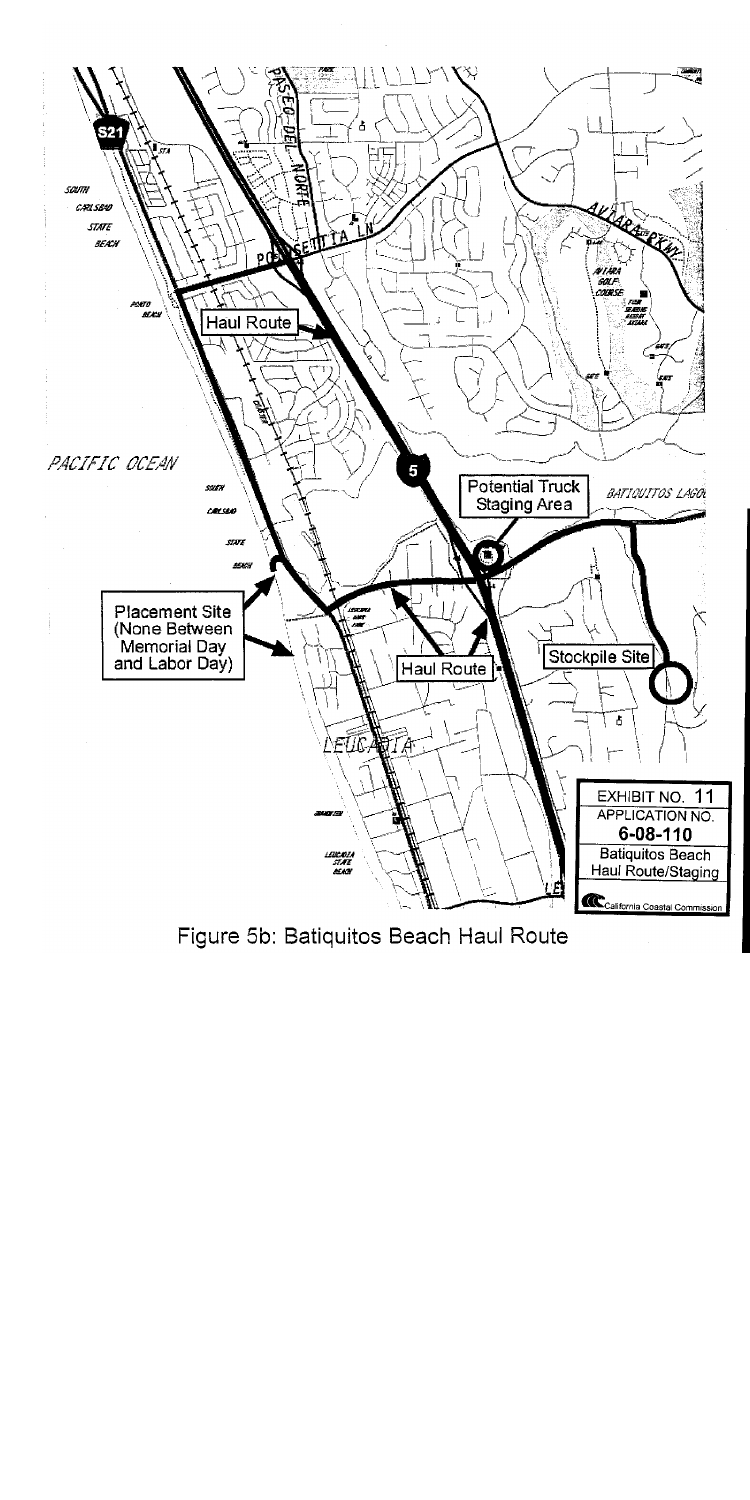

Figure 5b: Batiquitos Beach Haul Route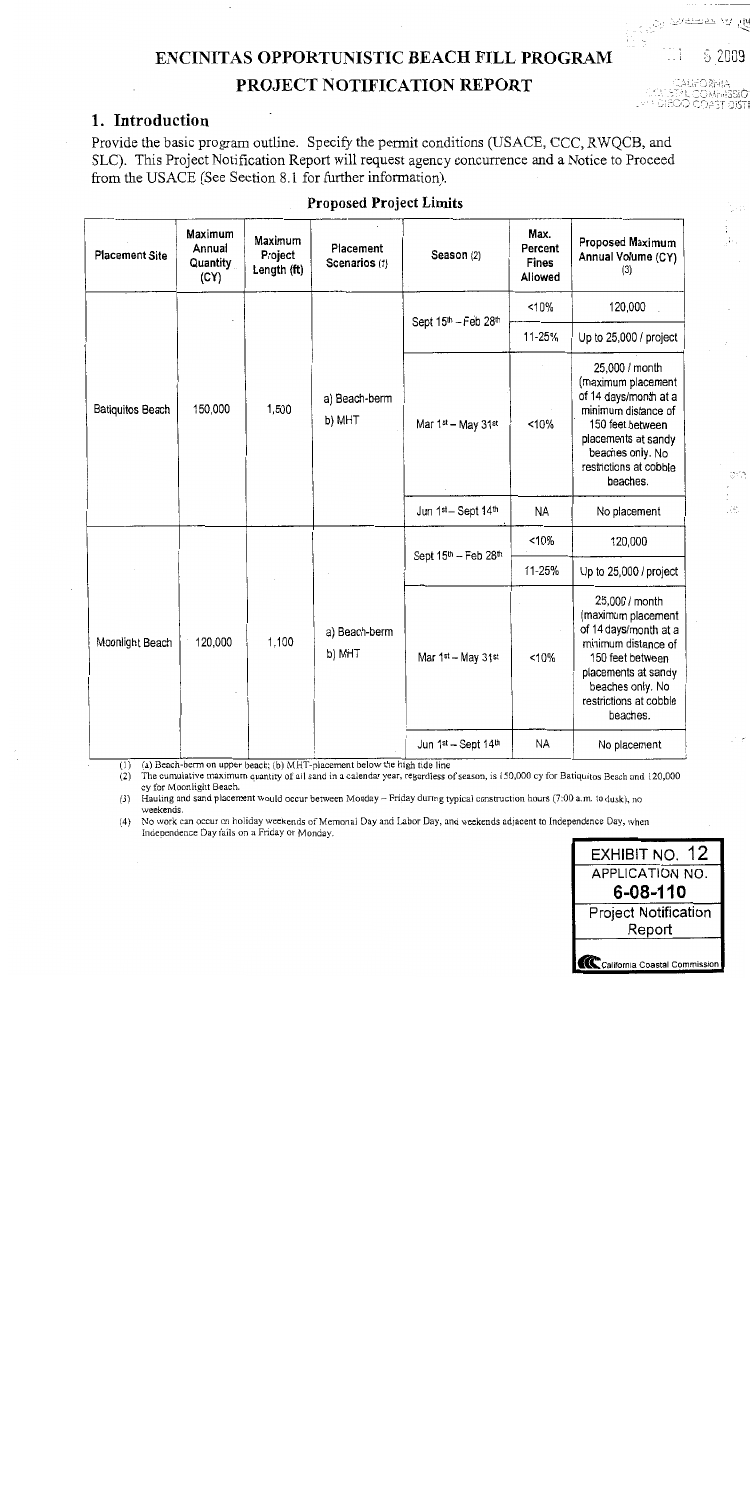# **ENCINITAS OPPORTUNISTIC BEACH FILL PROGRAM**

# PROJECT NOTIFICATION REPORT

# 1. Introduction

Provide the basic program outline. Specify the permit conditions (USACE, CCC, RWQCB, and SLC). This Project Notification Report will request agency concurrence and a Notice to Proceed from the USACE (See Section 8.1 for further information).

| <b>Placement Site</b>   | Maximum<br>Annual<br>Quantity<br>(CY) | Maximum<br>Project<br>Length (ft) | Placement<br>Scenarios (1) | Season (2)                                   | Max.<br>Percent<br><b>Fines</b><br>Allowed | Proposed Maximum<br>Annual Volume (CY)<br>(3)                                                                                                                                             |
|-------------------------|---------------------------------------|-----------------------------------|----------------------------|----------------------------------------------|--------------------------------------------|-------------------------------------------------------------------------------------------------------------------------------------------------------------------------------------------|
|                         | 150,000                               | 1,500                             | a) Beach-berm<br>b) MHT    | Sept 15 <sup>th</sup> - Feb 28 <sup>th</sup> | < 10%                                      | 120,000                                                                                                                                                                                   |
| <b>Batiquitos Beach</b> |                                       |                                   |                            |                                              | 11-25%                                     | Up to 25,000 / project                                                                                                                                                                    |
|                         |                                       |                                   |                            | Mar 1st - May 31st                           | <10%                                       | 25,000 / month<br>(maximum placement<br>of 14 days/month at a<br>minimum distance of<br>150 feet between<br>placements at sandy<br>beaches only. No<br>restrictions at cobble<br>beaches. |
|                         |                                       |                                   |                            | Jun 1st - Sept 14th                          | <b>NA</b>                                  | No placement                                                                                                                                                                              |
| Moonlight Beach         | 120,000                               | 1,100                             | a) Beach-berm<br>b) MHT    | Sept 15 <sup>th</sup> - Feb 28 <sup>th</sup> | 10%                                        | 120,000                                                                                                                                                                                   |
|                         |                                       |                                   |                            |                                              | 11-25%                                     | Up to 25,000 / project                                                                                                                                                                    |
|                         |                                       |                                   |                            | Mar 1st - May 31st                           | <10%                                       | 25,000 / month<br>(maximum placement<br>of 14 days/month at a<br>minimum distance of<br>150 feet between<br>placements at sandy<br>beaches only. No<br>restrictions at cobble<br>beaches. |
|                         |                                       |                                   |                            | Jun 1st - Sept 14th                          | NA                                         | No placement                                                                                                                                                                              |

## **Proposed Project Limits**

(a) Beach-berm on upper beach; (b) MHT-placement below the high tide line  $(1)$ 

 $(2)$ The cumulative maximum quantity of all sand in a calendar year, regardless of season, is 150,000 cy for Batiquitos Beach and 120,000 cy for Moonlight Beach.

(3) Hauling and sand placement would occur between Monday - Friday during typical construction hours (7:00 a.m. to dusk), no weekends.

(4) No work can occur on holiday weekends of Memorial Day and Labor Day, and weekends adjacent to Independence Day, when Independence Day fails on a Friday or Monday.



ි 2009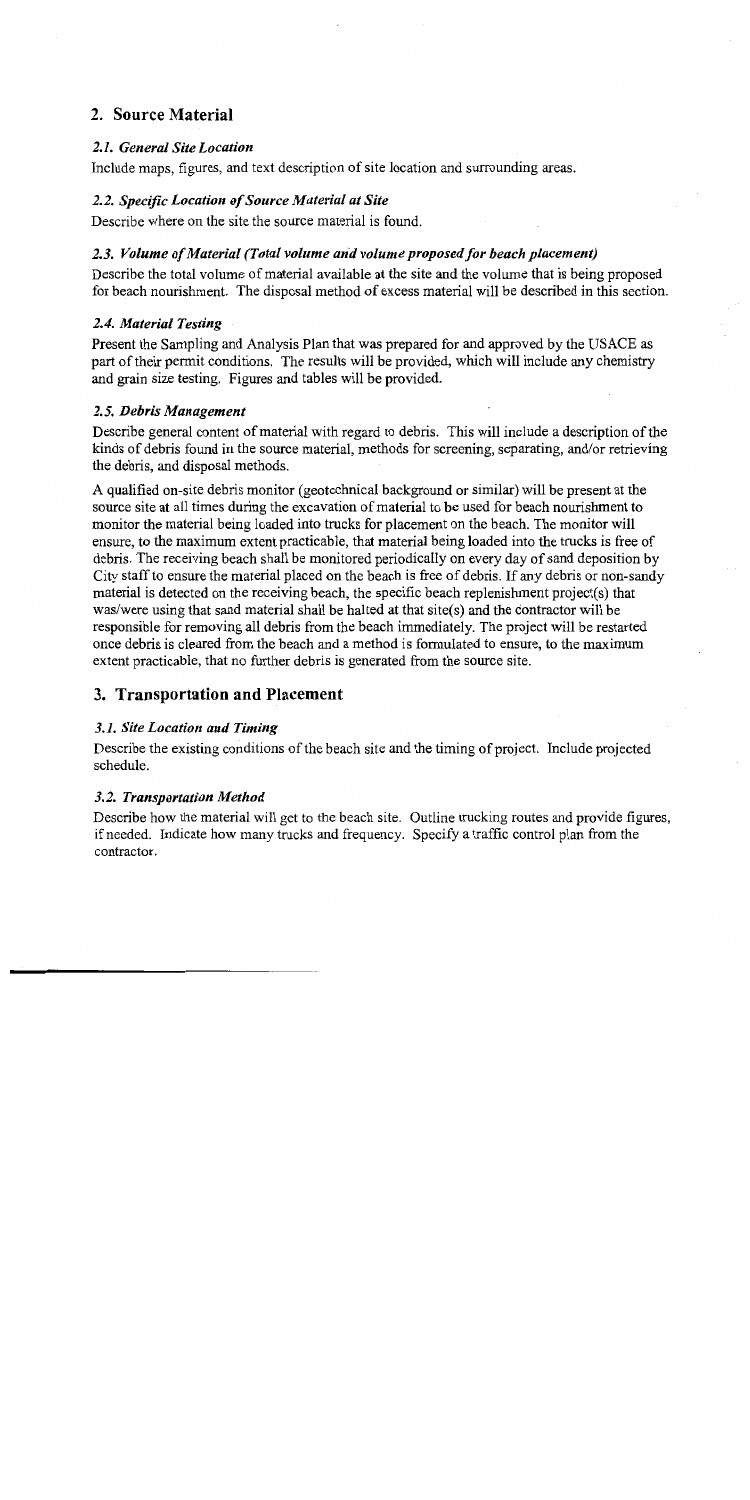# 2. Source Material

## 2.1. General Site Location

Include maps, figures, and text description of site location and surrounding areas.

# 2.2. Specific Location of Source Material at Site

Describe where on the site the source material is found.

# 2.3. Volume of Material (Total volume and volume proposed for beach placement)

Describe the total volume of material available at the site and the volume that is being proposed for beach nourishment. The disposal method of excess material will be described in this section.

## 2.4. Material Testing

Present the Sampling and Analysis Plan that was prepared for and approved by the USACE as part of their permit conditions. The results will be provided, which will include any chemistry and grain size testing. Figures and tables will be provided.

# 2.5. Debris Management

Describe general content of material with regard to debris. This will include a description of the kinds of debris found in the source material, methods for screening, separating, and/or retrieving the debris, and disposal methods.

A qualified on-site debris monitor (geotechnical background or similar) will be present at the source site at all times during the excavation of material to be used for beach nourishment to monitor the material being loaded into trucks for placement on the beach. The monitor will ensure, to the maximum extent practicable, that material being loaded into the trucks is free of debris. The receiving beach shall be monitored periodically on every day of sand deposition by City staff to ensure the material placed on the beach is free of debris. If any debris or non-sandy material is detected on the receiving beach, the specific beach replenishment project(s) that was/were using that sand material shall be halted at that site(s) and the contractor will be responsible for removing all debris from the beach immediately. The project will be restarted once debris is cleared from the beach and a method is formulated to ensure, to the maximum extent practicable, that no further debris is generated from the source site.

# 3. Transportation and Placement

# 3.1. Site Location and Timing

Describe the existing conditions of the beach site and the timing of project. Include projected schedule.

# 3.2. Transportation Method

Describe how the material will get to the beach site. Outline trucking routes and provide figures. if needed. Indicate how many trucks and frequency. Specify a traffic control plan from the contractor.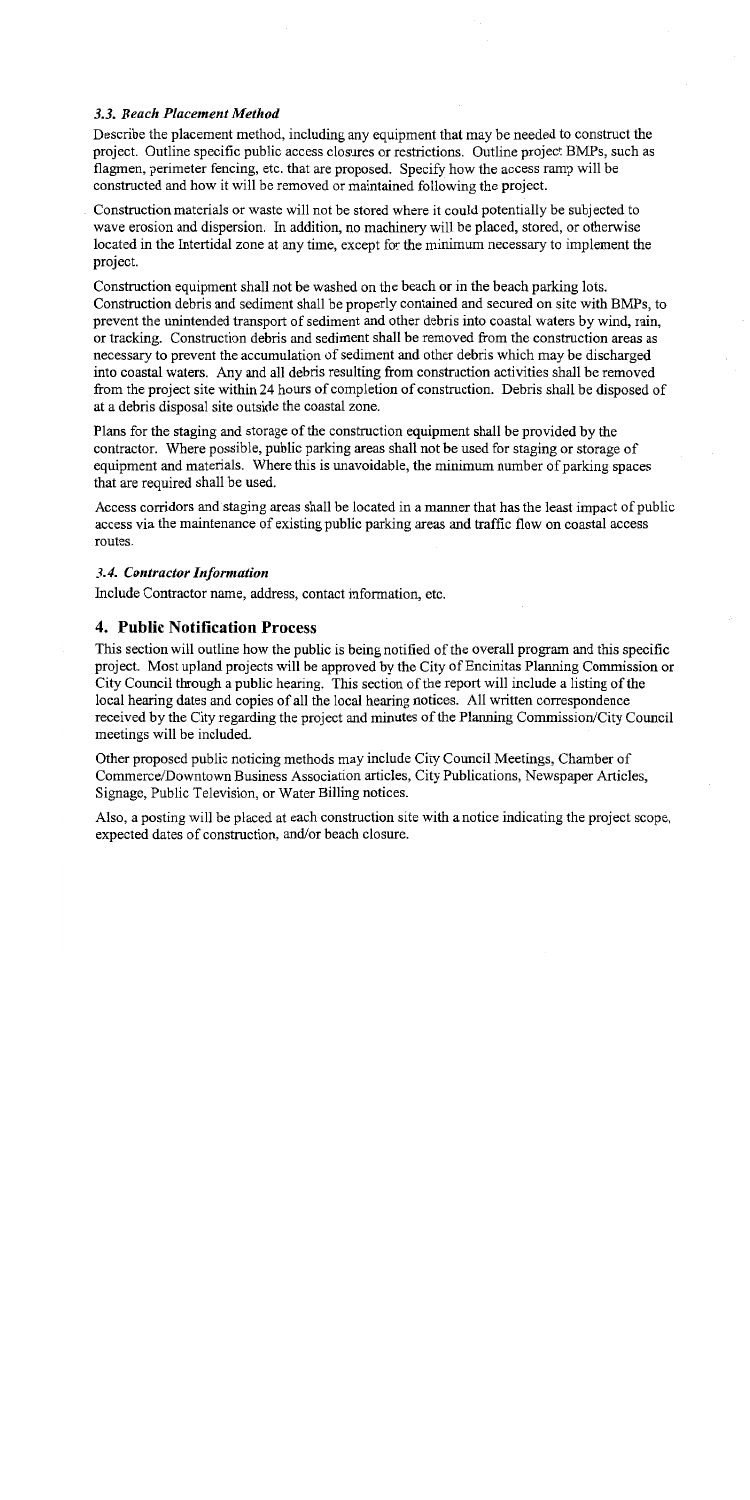## 3.3. Beach Placement Method

Describe the placement method, including any equipment that may be needed to construct the project. Outline specific public access closures or restrictions. Outline project BMPs, such as flagmen, perimeter fencing, etc. that are proposed. Specify how the access ramp will be constructed and how it will be removed or maintained following the project.

Construction materials or waste will not be stored where it could potentially be subjected to wave erosion and dispersion. In addition, no machinery will be placed, stored, or otherwise located in the Intertidal zone at any time, except for the minimum necessary to implement the project.

Construction equipment shall not be washed on the beach or in the beach parking lots. Construction debris and sediment shall be properly contained and secured on site with BMPs, to prevent the unintended transport of sediment and other debris into coastal waters by wind, rain, or tracking. Construction debris and sediment shall be removed from the construction areas as necessary to prevent the accumulation of sediment and other debris which may be discharged into coastal waters. Any and all debris resulting from construction activities shall be removed from the project site within 24 hours of completion of construction. Debris shall be disposed of at a debris disposal site outside the coastal zone.

Plans for the staging and storage of the construction equipment shall be provided by the contractor. Where possible, public parking areas shall not be used for staging or storage of equipment and materials. Where this is unavoidable, the minimum number of parking spaces that are required shall be used.

Access corridors and staging areas shall be located in a manner that has the least impact of public access via the maintenance of existing public parking areas and traffic flow on coastal access routes.

#### 3.4. Contractor Information

Include Contractor name, address, contact information, etc.

# 4. Public Notification Process

This section will outline how the public is being notified of the overall program and this specific project. Most upland projects will be approved by the City of Encinitias Planning Commission or City Council through a public hearing. This section of the report will include a listing of the local hearing dates and copies of all the local hearing notices. All written correspondence received by the City regarding the project and minutes of the Planning Commission/City Council meetings will be included.

Other proposed public noticing methods may include City Council Meetings, Chamber of Commerce/Downtown Business Association articles, City Publications, Newspaper Articles, Signage, Public Television, or Water Billing notices.

Also, a posting will be placed at each construction site with a notice indicating the project scope, expected dates of construction, and/or beach closure.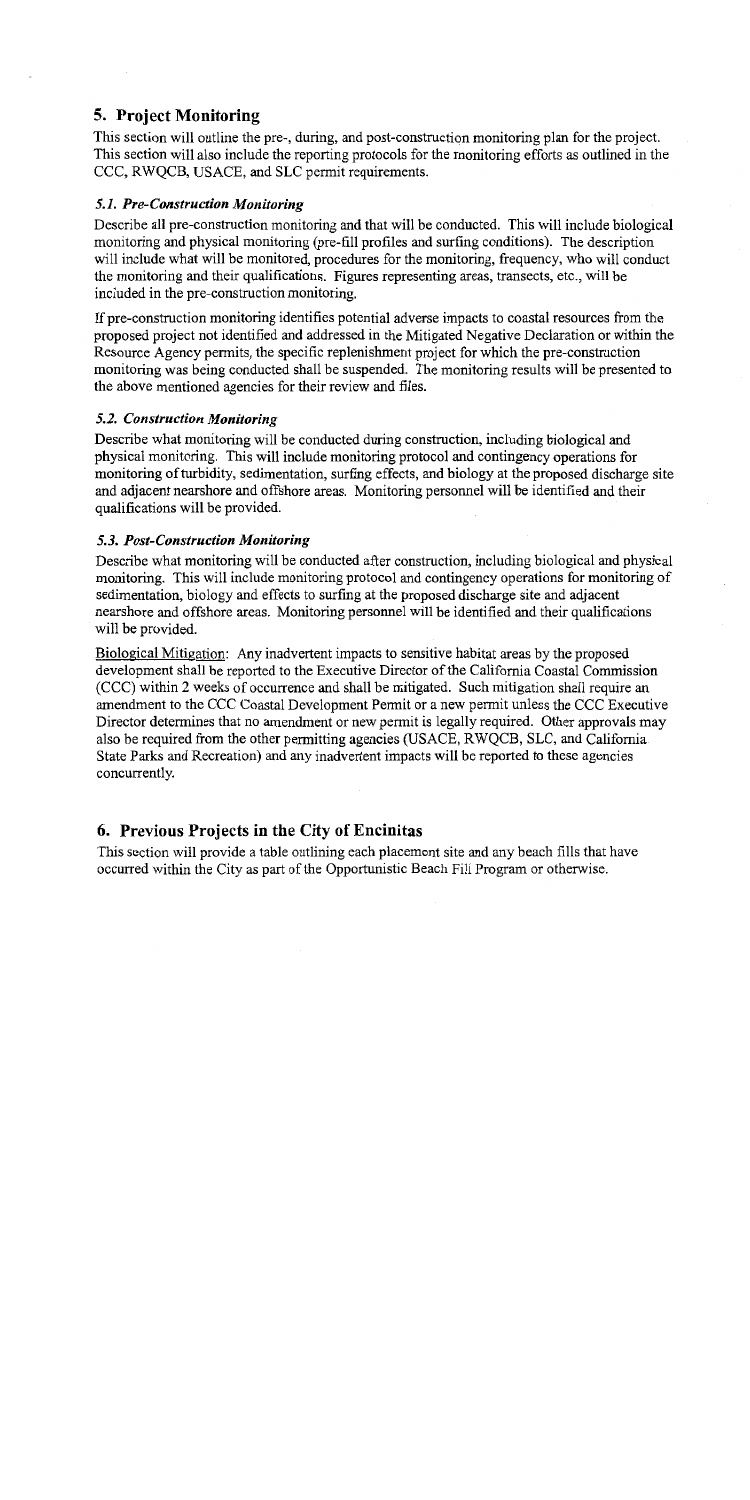# **5. Project Monitoring**

This section will outline the pre-, during, and post-construction monitoring plan for the project. This section will also include the reporting protocols for the monitoring efforts as outlined in the CCC, RWOCB, USACE, and SLC permit requirements.

# 5.1. Pre-Construction Monitoring

Describe all pre-construction monitoring and that will be conducted. This will include biological monitoring and physical monitoring (pre-fill profiles and surfing conditions). The description will include what will be monitored, procedures for the monitoring, frequency, who will conduct the monitoring and their qualifications. Figures representing areas, transects, etc., will be included in the pre-construction monitoring.

If pre-construction monitoring identifies potential adverse impacts to coastal resources from the proposed project not identified and addressed in the Mitigated Negative Declaration or within the Resource Agency permits, the specific replenishment project for which the pre-construction monitoring was being conducted shall be suspended. The monitoring results will be presented to the above mentioned agencies for their review and files.

# 5.2. Construction Monitoring

Describe what monitoring will be conducted during construction, including biological and physical monitoring. This will include monitoring protocol and contingency operations for monitoring of turbidity, sedimentation, surfing effects, and biology at the proposed discharge site and adjacent nearshore and offshore areas. Monitoring personnel will be identified and their qualifications will be provided.

# 5.3. Post-Construction Monitoring

Describe what monitoring will be conducted after construction, including biological and physical monitoring. This will include monitoring protocol and contingency operations for monitoring of sedimentation, biology and effects to surfing at the proposed discharge site and adjacent nearshore and offshore areas. Monitoring personnel will be identified and their qualifications will be provided.

Biological Mitigation: Any inadvertent impacts to sensitive habitat areas by the proposed development shall be reported to the Executive Director of the California Coastal Commission (CCC) within 2 weeks of occurrence and shall be mitigated. Such mitigation shall require an amendment to the CCC Coastal Development Permit or a new permit unless the CCC Executive Director determines that no amendment or new permit is legally required. Other approvals may also be required from the other permitting agencies (USACE, RWQCB, SLC, and California State Parks and Recreation) and any inadvertent impacts will be reported to these agencies concurrently.

# 6. Previous Projects in the City of Encinitas

This section will provide a table outlining each placement site and any beach fills that have occurred within the City as part of the Opportunistic Beach Fill Program or otherwise.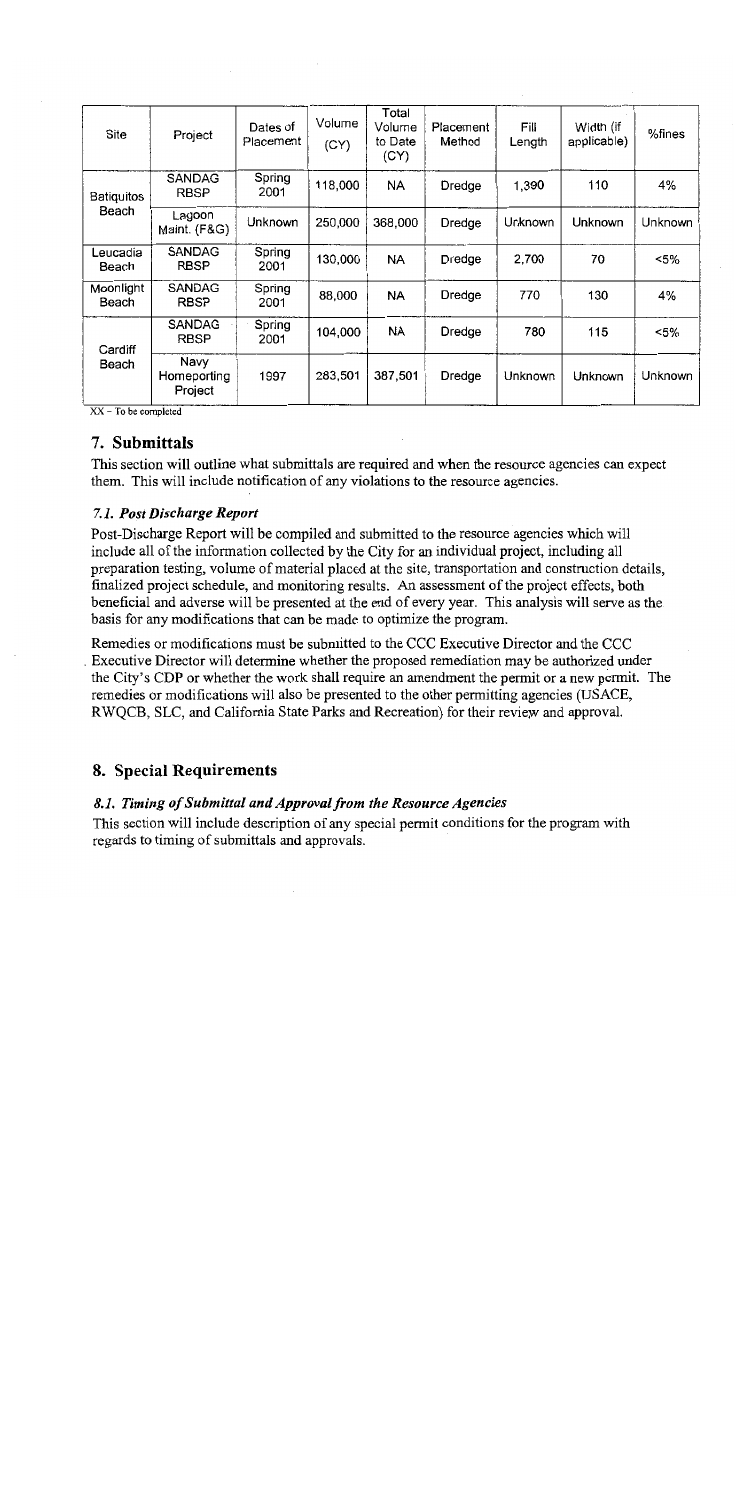| <b>Site</b>         | Project                        | Dates of<br>Placement | Volume<br>(CY) | Total<br>Volume<br>to Date<br>(CY) | Placement<br>Method | Fill<br>Length | Width (if<br>applicable) | %fines  |
|---------------------|--------------------------------|-----------------------|----------------|------------------------------------|---------------------|----------------|--------------------------|---------|
| Batiquitos<br>Beach | <b>SANDAG</b><br><b>RBSP</b>   | Spring<br>2001        | 118,000        | NA                                 | Dredge              | 1,390          | 110                      | 4%      |
|                     | Lagoon<br>Maint. (F&G)         | Unknown               | 250,000        | 368,000                            | Dredge              | Unknown        | Unknown                  | Unknown |
| Leucadia<br>Beach   | SANDAG<br><b>RBSP</b>          | Spring<br>2001        | 130,000        | NA                                 | Dredge              | 2,700          | 70                       | <5%     |
| Moonlight<br>Beach  | <b>SANDAG</b><br><b>RBSP</b>   | Spring<br>2001        | 88,000         | <b>NA</b>                          | Dredge              | 770            | 130                      | 4%      |
| Cardiff<br>Beach    | SANDAG<br><b>RBSP</b>          | Spring<br>2001        | 104,000        | <b>NA</b>                          | Dredge              | 780            | 115                      | <5%     |
|                     | Navy<br>Homeporting<br>Project | 1997                  | 283,501        | 387,501                            | Dredge              | Unknown        | Unknown                  | Unknown |

 $XX - To be completed$ 

# 7. Submittals

This section will outline what submittals are required and when the resource agencies can expect them. This will include notification of any violations to the resource agencies.

# 7.1. Post Discharge Report

Post-Discharge Report will be compiled and submitted to the resource agencies which will include all of the information collected by the City for an individual project, including all preparation testing, volume of material placed at the site, transportation and construction details, finalized project schedule, and monitoring results. An assessment of the project effects, both beneficial and adverse will be presented at the end of every year. This analysis will serve as the basis for any modifications that can be made to optimize the program.

Remedies or modifications must be submitted to the CCC Executive Director and the CCC Executive Director will determine whether the proposed remediation may be authorized under the City's CDP or whether the work shall require an amendment the permit or a new permit. The remedies or modifications will also be presented to the other permitting agencies (USACE, RWOCB, SLC, and California State Parks and Recreation) for their review and approval.

# 8. Special Requirements

## 8.1. Timing of Submittal and Approval from the Resource Agencies

This section will include description of any special permit conditions for the program with regards to timing of submittals and approvals.